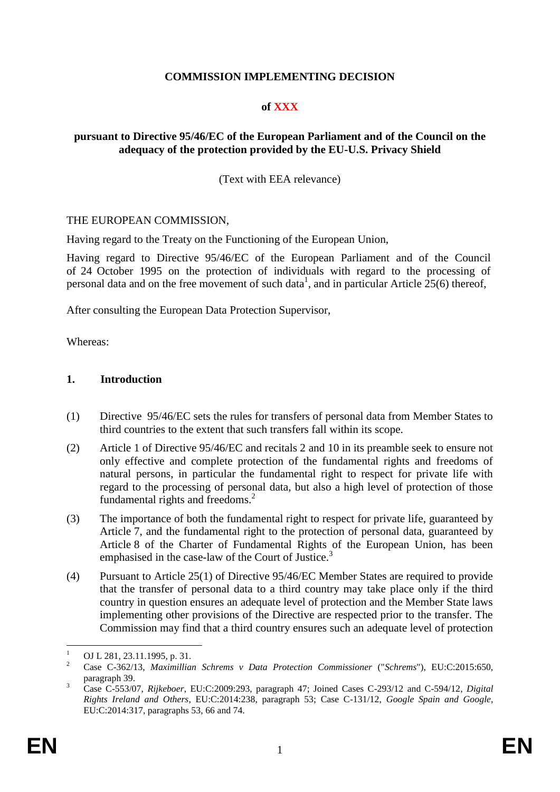## **COMMISSION IMPLEMENTING DECISION**

#### **of XXX**

#### **pursuant to Directive 95/46/EC of the European Parliament and of the Council on the adequacy of the protection provided by the EU-U.S. Privacy Shield**

(Text with EEA relevance)

#### THE EUROPEAN COMMISSION,

Having regard to the Treaty on the Functioning of the European Union,

Having regard to Directive 95/46/EC of the European Parliament and of the Council of 24 October 1995 on the protection of individuals with regard to the processing of personal data and on the free movement of such data<sup>1</sup>, and in particular Article  $25(6)$  thereof,

After consulting the European Data Protection Supervisor,

Whereas:

#### **1. Introduction**

- (1) Directive 95/46/EC sets the rules for transfers of personal data from Member States to third countries to the extent that such transfers fall within its scope.
- (2) Article 1 of Directive 95/46/EC and recitals 2 and 10 in its preamble seek to ensure not only effective and complete protection of the fundamental rights and freedoms of natural persons, in particular the fundamental right to respect for private life with regard to the processing of personal data, but also a high level of protection of those fundamental rights and freedoms.<sup>2</sup>
- (3) The importance of both the fundamental right to respect for private life, guaranteed by Article 7, and the fundamental right to the protection of personal data, guaranteed by Article 8 of the Charter of Fundamental Rights of the European Union, has been emphasised in the case-law of the Court of Justice.<sup>3</sup>
- (4) Pursuant to Article 25(1) of Directive 95/46/EC Member States are required to provide that the transfer of personal data to a third country may take place only if the third country in question ensures an adequate level of protection and the Member State laws implementing other provisions of the Directive are respected prior to the transfer. The Commission may find that a third country ensures such an adequate level of protection

 $\mathbf{1}$  $\frac{1}{2}$  OJ L 281, 23.11.1995, p. 31.

<sup>2</sup> Case C-362/13, *Maximillian Schrems v Data Protection Commissioner* ("*Schrems*"), EU:C:2015:650, paragraph 39.

<sup>3</sup> Case C-553/07, *Rijkeboer*, EU:C:2009:293, paragraph 47; Joined Cases C-293/12 and C-594/12, *Digital Rights Ireland and Others*, EU:C:2014:238, paragraph 53; Case C-131/12, *Google Spain and Google*, EU:C:2014:317, paragraphs 53, 66 and 74.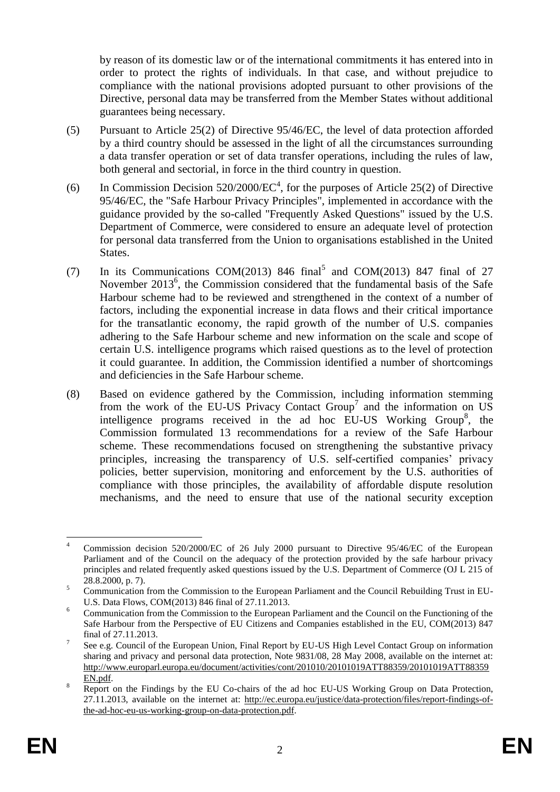by reason of its domestic law or of the international commitments it has entered into in order to protect the rights of individuals. In that case, and without prejudice to compliance with the national provisions adopted pursuant to other provisions of the Directive, personal data may be transferred from the Member States without additional guarantees being necessary.

- (5) Pursuant to Article 25(2) of Directive 95/46/EC, the level of data protection afforded by a third country should be assessed in the light of all the circumstances surrounding a data transfer operation or set of data transfer operations, including the rules of law, both general and sectorial, in force in the third country in question.
- (6) In Commission Decision  $520/2000/EC^4$ , for the purposes of Article 25(2) of Directive 95/46/EC, the "Safe Harbour Privacy Principles", implemented in accordance with the guidance provided by the so-called "Frequently Asked Questions" issued by the U.S. Department of Commerce, were considered to ensure an adequate level of protection for personal data transferred from the Union to organisations established in the United States.
- <span id="page-1-0"></span>(7) In its Communications COM(2013) 846 final<sup>5</sup> and COM(2013) 847 final of 27 November 2013<sup>6</sup>, the Commission considered that the fundamental basis of the Safe Harbour scheme had to be reviewed and strengthened in the context of a number of factors, including the exponential increase in data flows and their critical importance for the transatlantic economy, the rapid growth of the number of U.S. companies adhering to the Safe Harbour scheme and new information on the scale and scope of certain U.S. intelligence programs which raised questions as to the level of protection it could guarantee. In addition, the Commission identified a number of shortcomings and deficiencies in the Safe Harbour scheme.
- (8) Based on evidence gathered by the Commission, including information stemming from the work of the EU-US Privacy Contact  $Group<sup>7</sup>$  and the information on US intelligence programs received in the ad hoc EU-US Working Group<sup>8</sup>, the Commission formulated 13 recommendations for a review of the Safe Harbour scheme. These recommendations focused on strengthening the substantive privacy principles, increasing the transparency of U.S. self-certified companies' privacy policies, better supervision, monitoring and enforcement by the U.S. authorities of compliance with those principles, the availability of affordable dispute resolution mechanisms, and the need to ensure that use of the national security exception

 $\overline{4}$ Commission decision 520/2000/EC of 26 July 2000 pursuant to Directive 95/46/EC of the European Parliament and of the Council on the adequacy of the protection provided by the safe harbour privacy principles and related frequently asked questions issued by the U.S. Department of Commerce (OJ L 215 of 28.8.2000, p. 7).

<sup>&</sup>lt;sup>5</sup> Communication from the Commission to the European Parliament and the Council Rebuilding Trust in EU-U.S. Data Flows, COM(2013) 846 final of 27.11.2013.

<sup>&</sup>lt;sup>6</sup> Communication from the Commission to the European Parliament and the Council on the Functioning of the Safe Harbour from the Perspective of EU Citizens and Companies established in the EU, COM(2013) 847 final of 27.11.2013.

<sup>7</sup> See e.g. Council of the European Union, Final Report by EU-US High Level Contact Group on information sharing and privacy and personal data protection, Note 9831/08, 28 May 2008, available on the internet at: http://www.europarl.europa.eu/document/activities/cont/201010/20101019ATT88359/20101019ATT88359 EN.pdf.

<sup>&</sup>lt;sup>8</sup> Report on the Findings by the EU Co-chairs of the ad hoc EU-US Working Group on Data Protection, 27.11.2013, available on the internet at: http://ec.europa.eu/justice/data-protection/files/report-findings-ofthe-ad-hoc-eu-us-working-group-on-data-protection.pdf.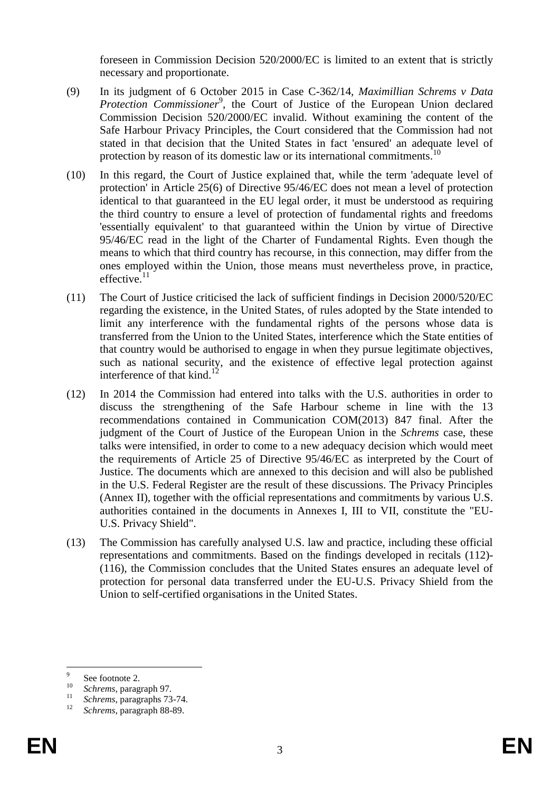foreseen in Commission Decision 520/2000/EC is limited to an extent that is strictly necessary and proportionate.

- (9) In its judgment of 6 October 2015 in Case C-362/14, *Maximillian Schrems v Data*  Protection Commissioner<sup>9</sup>, the Court of Justice of the European Union declared Commission Decision 520/2000/EC invalid. Without examining the content of the Safe Harbour Privacy Principles, the Court considered that the Commission had not stated in that decision that the United States in fact 'ensured' an adequate level of protection by reason of its domestic law or its international commitments.<sup>10</sup>
- (10) In this regard, the Court of Justice explained that, while the term 'adequate level of protection' in Article 25(6) of Directive 95/46/EC does not mean a level of protection identical to that guaranteed in the EU legal order, it must be understood as requiring the third country to ensure a level of protection of fundamental rights and freedoms 'essentially equivalent' to that guaranteed within the Union by virtue of Directive 95/46/EC read in the light of the Charter of Fundamental Rights. Even though the means to which that third country has recourse, in this connection, may differ from the ones employed within the Union, those means must nevertheless prove, in practice, effective. $11$
- (11) The Court of Justice criticised the lack of sufficient findings in Decision 2000/520/EC regarding the existence, in the United States, of rules adopted by the State intended to limit any interference with the fundamental rights of the persons whose data is transferred from the Union to the United States, interference which the State entities of that country would be authorised to engage in when they pursue legitimate objectives, such as national security, and the existence of effective legal protection against interference of that kind.<sup>12</sup>
- (12) In 2014 the Commission had entered into talks with the U.S. authorities in order to discuss the strengthening of the Safe Harbour scheme in line with the 13 recommendations contained in Communication COM(2013) 847 final. After the judgment of the Court of Justice of the European Union in the *Schrems* case, these talks were intensified, in order to come to a new adequacy decision which would meet the requirements of Article 25 of Directive 95/46/EC as interpreted by the Court of Justice. The documents which are annexed to this decision and will also be published in the U.S. Federal Register are the result of these discussions. The Privacy Principles (Annex II), together with the official representations and commitments by various U.S. authorities contained in the documents in Annexes I, III to VII, constitute the "EU-U.S. Privacy Shield".
- (13) The Commission has carefully analysed U.S. law and practice, including these official representations and commitments. Based on the findings developed in recitals [\(112\)-](#page-28-0) [\(116\),](#page-28-1) the Commission concludes that the United States ensures an adequate level of protection for personal data transferred under the EU-U.S. Privacy Shield from the Union to self-certified organisations in the United States.

<sup>–&</sup>lt;br>9 See footnote 2.

<sup>10</sup> *Schrems*, paragraph 97.

 $\frac{11}{12}$  *Schrems*, paragraphs 73-74.

<sup>12</sup> *Schrems*, paragraph 88-89.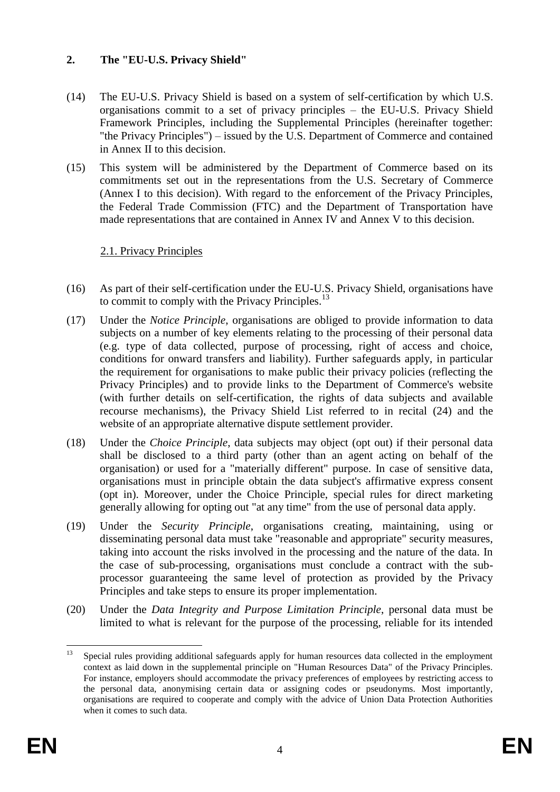# **2. The "EU-U.S. Privacy Shield"**

- (14) The EU-U.S. Privacy Shield is based on a system of self-certification by which U.S. organisations commit to a set of privacy principles – the EU-U.S. Privacy Shield Framework Principles, including the Supplemental Principles (hereinafter together: "the Privacy Principles") – issued by the U.S. Department of Commerce and contained in Annex II to this decision.
- (15) This system will be administered by the Department of Commerce based on its commitments set out in the representations from the U.S. Secretary of Commerce (Annex I to this decision). With regard to the enforcement of the Privacy Principles, the Federal Trade Commission (FTC) and the Department of Transportation have made representations that are contained in Annex IV and Annex V to this decision.

# 2.1. Privacy Principles

- (16) As part of their self-certification under the EU-U.S. Privacy Shield, organisations have to commit to comply with the Privacy Principles.<sup>13</sup>
- (17) Under the *Notice Principle*, organisations are obliged to provide information to data subjects on a number of key elements relating to the processing of their personal data (e.g. type of data collected, purpose of processing, right of access and choice, conditions for onward transfers and liability). Further safeguards apply, in particular the requirement for organisations to make public their privacy policies (reflecting the Privacy Principles) and to provide links to the Department of Commerce's website (with further details on self-certification, the rights of data subjects and available recourse mechanisms), the Privacy Shield List referred to in recital [\(24\)](#page-4-0) and the website of an appropriate alternative dispute settlement provider.
- (18) Under the *Choice Principle*, data subjects may object (opt out) if their personal data shall be disclosed to a third party (other than an agent acting on behalf of the organisation) or used for a "materially different" purpose. In case of sensitive data, organisations must in principle obtain the data subject's affirmative express consent (opt in). Moreover, under the Choice Principle, special rules for direct marketing generally allowing for opting out "at any time" from the use of personal data apply.
- (19) Under the *Security Principle*, organisations creating, maintaining, using or disseminating personal data must take "reasonable and appropriate" security measures, taking into account the risks involved in the processing and the nature of the data. In the case of sub-processing, organisations must conclude a contract with the subprocessor guaranteeing the same level of protection as provided by the Privacy Principles and take steps to ensure its proper implementation.
- (20) Under the *Data Integrity and Purpose Limitation Principle*, personal data must be limited to what is relevant for the purpose of the processing, reliable for its intended

 $13$ Special rules providing additional safeguards apply for human resources data collected in the employment context as laid down in the supplemental principle on "Human Resources Data" of the Privacy Principles. For instance, employers should accommodate the privacy preferences of employees by restricting access to the personal data, anonymising certain data or assigning codes or pseudonyms. Most importantly, organisations are required to cooperate and comply with the advice of Union Data Protection Authorities when it comes to such data.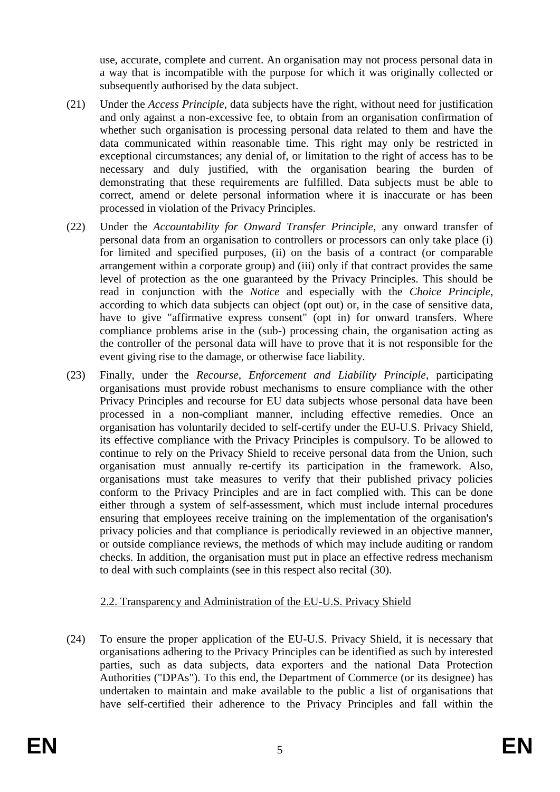use, accurate, complete and current. An organisation may not process personal data in a way that is incompatible with the purpose for which it was originally collected or subsequently authorised by the data subject.

- (21) Under the *Access Principle*, data subjects have the right, without need for justification and only against a non-excessive fee, to obtain from an organisation confirmation of whether such organisation is processing personal data related to them and have the data communicated within reasonable time. This right may only be restricted in exceptional circumstances; any denial of, or limitation to the right of access has to be necessary and duly justified, with the organisation bearing the burden of demonstrating that these requirements are fulfilled. Data subjects must be able to correct, amend or delete personal information where it is inaccurate or has been processed in violation of the Privacy Principles.
- (22) Under the *Accountability for Onward Transfer Principle*, any onward transfer of personal data from an organisation to controllers or processors can only take place (i) for limited and specified purposes, (ii) on the basis of a contract (or comparable arrangement within a corporate group) and (iii) only if that contract provides the same level of protection as the one guaranteed by the Privacy Principles. This should be read in conjunction with the *Notice* and especially with the *Choice Principle*, according to which data subjects can object (opt out) or, in the case of sensitive data, have to give "affirmative express consent" (opt in) for onward transfers. Where compliance problems arise in the (sub-) processing chain, the organisation acting as the controller of the personal data will have to prove that it is not responsible for the event giving rise to the damage, or otherwise face liability.
- (23) Finally, under the *Recourse, Enforcement and Liability Principle*, participating organisations must provide robust mechanisms to ensure compliance with the other Privacy Principles and recourse for EU data subjects whose personal data have been processed in a non-compliant manner, including effective remedies. Once an organisation has voluntarily decided to self-certify under the EU-U.S. Privacy Shield, its effective compliance with the Privacy Principles is compulsory. To be allowed to continue to rely on the Privacy Shield to receive personal data from the Union, such organisation must annually re-certify its participation in the framework. Also, organisations must take measures to verify that their published privacy policies conform to the Privacy Principles and are in fact complied with. This can be done either through a system of self-assessment, which must include internal procedures ensuring that employees receive training on the implementation of the organisation's privacy policies and that compliance is periodically reviewed in an objective manner, or outside compliance reviews, the methods of which may include auditing or random checks. In addition, the organisation must put in place an effective redress mechanism to deal with such complaints (see in this respect also recital [\(30\).](#page-6-0)

# 2.2. Transparency and Administration of the EU-U.S. Privacy Shield

<span id="page-4-0"></span>(24) To ensure the proper application of the EU-U.S. Privacy Shield, it is necessary that organisations adhering to the Privacy Principles can be identified as such by interested parties, such as data subjects, data exporters and the national Data Protection Authorities ("DPAs"). To this end, the Department of Commerce (or its designee) has undertaken to maintain and make available to the public a list of organisations that have self-certified their adherence to the Privacy Principles and fall within the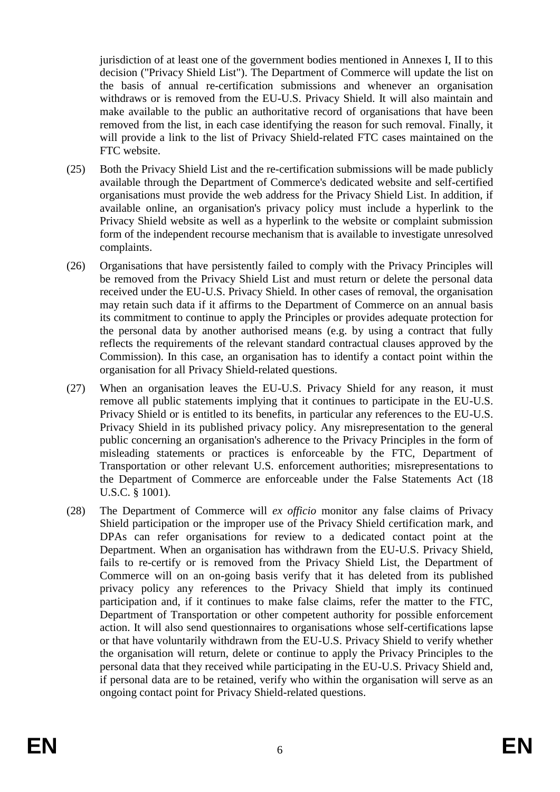jurisdiction of at least one of the government bodies mentioned in Annexes I, II to this decision ("Privacy Shield List"). The Department of Commerce will update the list on the basis of annual re-certification submissions and whenever an organisation withdraws or is removed from the EU-U.S. Privacy Shield. It will also maintain and make available to the public an authoritative record of organisations that have been removed from the list, in each case identifying the reason for such removal. Finally, it will provide a link to the list of Privacy Shield-related FTC cases maintained on the FTC website.

- (25) Both the Privacy Shield List and the re-certification submissions will be made publicly available through the Department of Commerce's dedicated website and self-certified organisations must provide the web address for the Privacy Shield List. In addition, if available online, an organisation's privacy policy must include a hyperlink to the Privacy Shield website as well as a hyperlink to the website or complaint submission form of the independent recourse mechanism that is available to investigate unresolved complaints.
- (26) Organisations that have persistently failed to comply with the Privacy Principles will be removed from the Privacy Shield List and must return or delete the personal data received under the EU-U.S. Privacy Shield. In other cases of removal, the organisation may retain such data if it affirms to the Department of Commerce on an annual basis its commitment to continue to apply the Principles or provides adequate protection for the personal data by another authorised means (e.g. by using a contract that fully reflects the requirements of the relevant standard contractual clauses approved by the Commission). In this case, an organisation has to identify a contact point within the organisation for all Privacy Shield-related questions.
- (27) When an organisation leaves the EU-U.S. Privacy Shield for any reason, it must remove all public statements implying that it continues to participate in the EU-U.S. Privacy Shield or is entitled to its benefits, in particular any references to the EU-U.S. Privacy Shield in its published privacy policy. Any misrepresentation to the general public concerning an organisation's adherence to the Privacy Principles in the form of misleading statements or practices is enforceable by the FTC, Department of Transportation or other relevant U.S. enforcement authorities; misrepresentations to the Department of Commerce are enforceable under the False Statements Act (18 U.S.C. § 1001).
- (28) The Department of Commerce will *ex officio* monitor any false claims of Privacy Shield participation or the improper use of the Privacy Shield certification mark, and DPAs can refer organisations for review to a dedicated contact point at the Department. When an organisation has withdrawn from the EU-U.S. Privacy Shield, fails to re-certify or is removed from the Privacy Shield List, the Department of Commerce will on an on-going basis verify that it has deleted from its published privacy policy any references to the Privacy Shield that imply its continued participation and, if it continues to make false claims, refer the matter to the FTC, Department of Transportation or other competent authority for possible enforcement action. It will also send questionnaires to organisations whose self-certifications lapse or that have voluntarily withdrawn from the EU-U.S. Privacy Shield to verify whether the organisation will return, delete or continue to apply the Privacy Principles to the personal data that they received while participating in the EU-U.S. Privacy Shield and, if personal data are to be retained, verify who within the organisation will serve as an ongoing contact point for Privacy Shield-related questions.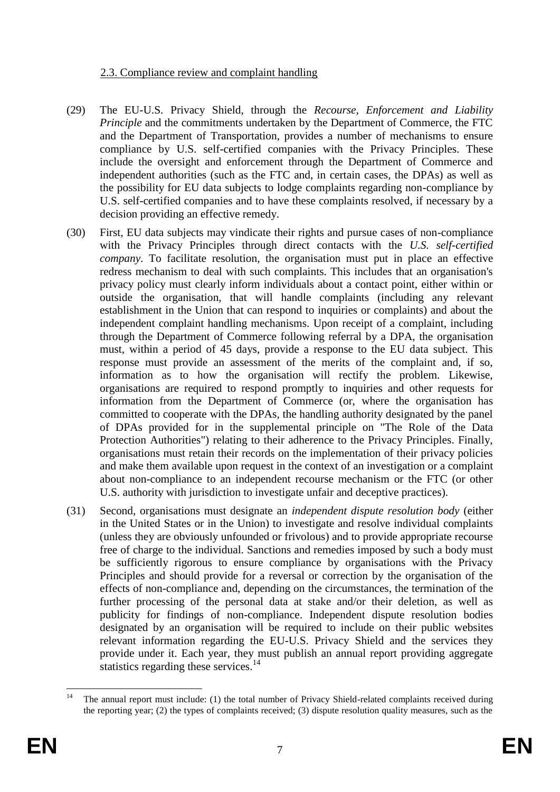## 2.3. Compliance review and complaint handling

- (29) The EU-U.S. Privacy Shield, through the *Recourse, Enforcement and Liability Principle* and the commitments undertaken by the Department of Commerce, the FTC and the Department of Transportation, provides a number of mechanisms to ensure compliance by U.S. self-certified companies with the Privacy Principles. These include the oversight and enforcement through the Department of Commerce and independent authorities (such as the FTC and, in certain cases, the DPAs) as well as the possibility for EU data subjects to lodge complaints regarding non-compliance by U.S. self-certified companies and to have these complaints resolved, if necessary by a decision providing an effective remedy.
- <span id="page-6-0"></span>(30) First, EU data subjects may vindicate their rights and pursue cases of non-compliance with the Privacy Principles through direct contacts with the *U.S. self-certified company*. To facilitate resolution, the organisation must put in place an effective redress mechanism to deal with such complaints. This includes that an organisation's privacy policy must clearly inform individuals about a contact point, either within or outside the organisation, that will handle complaints (including any relevant establishment in the Union that can respond to inquiries or complaints) and about the independent complaint handling mechanisms. Upon receipt of a complaint, including through the Department of Commerce following referral by a DPA, the organisation must, within a period of 45 days, provide a response to the EU data subject. This response must provide an assessment of the merits of the complaint and, if so, information as to how the organisation will rectify the problem. Likewise, organisations are required to respond promptly to inquiries and other requests for information from the Department of Commerce (or, where the organisation has committed to cooperate with the DPAs, the handling authority designated by the panel of DPAs provided for in the supplemental principle on "The Role of the Data Protection Authorities") relating to their adherence to the Privacy Principles. Finally, organisations must retain their records on the implementation of their privacy policies and make them available upon request in the context of an investigation or a complaint about non-compliance to an independent recourse mechanism or the FTC (or other U.S. authority with jurisdiction to investigate unfair and deceptive practices).
- (31) Second, organisations must designate an *independent dispute resolution body* (either in the United States or in the Union) to investigate and resolve individual complaints (unless they are obviously unfounded or frivolous) and to provide appropriate recourse free of charge to the individual. Sanctions and remedies imposed by such a body must be sufficiently rigorous to ensure compliance by organisations with the Privacy Principles and should provide for a reversal or correction by the organisation of the effects of non-compliance and, depending on the circumstances, the termination of the further processing of the personal data at stake and/or their deletion, as well as publicity for findings of non-compliance. Independent dispute resolution bodies designated by an organisation will be required to include on their public websites relevant information regarding the EU-U.S. Privacy Shield and the services they provide under it. Each year, they must publish an annual report providing aggregate statistics regarding these services.<sup>14</sup>

 $\overline{14}$ <sup>14</sup> The annual report must include: (1) the total number of Privacy Shield-related complaints received during the reporting year; (2) the types of complaints received; (3) dispute resolution quality measures, such as the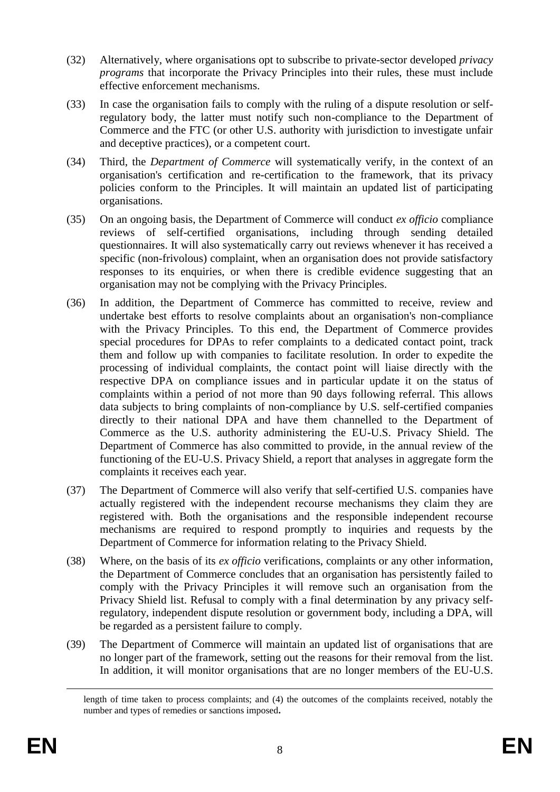- (32) Alternatively, where organisations opt to subscribe to private-sector developed *privacy programs* that incorporate the Privacy Principles into their rules, these must include effective enforcement mechanisms.
- (33) In case the organisation fails to comply with the ruling of a dispute resolution or selfregulatory body, the latter must notify such non-compliance to the Department of Commerce and the FTC (or other U.S. authority with jurisdiction to investigate unfair and deceptive practices), or a competent court.
- (34) Third, the *Department of Commerce* will systematically verify, in the context of an organisation's certification and re-certification to the framework, that its privacy policies conform to the Principles. It will maintain an updated list of participating organisations.
- (35) On an ongoing basis, the Department of Commerce will conduct *ex officio* compliance reviews of self-certified organisations, including through sending detailed questionnaires. It will also systematically carry out reviews whenever it has received a specific (non-frivolous) complaint, when an organisation does not provide satisfactory responses to its enquiries, or when there is credible evidence suggesting that an organisation may not be complying with the Privacy Principles.
- (36) In addition, the Department of Commerce has committed to receive, review and undertake best efforts to resolve complaints about an organisation's non-compliance with the Privacy Principles. To this end, the Department of Commerce provides special procedures for DPAs to refer complaints to a dedicated contact point, track them and follow up with companies to facilitate resolution. In order to expedite the processing of individual complaints, the contact point will liaise directly with the respective DPA on compliance issues and in particular update it on the status of complaints within a period of not more than 90 days following referral. This allows data subjects to bring complaints of non-compliance by U.S. self-certified companies directly to their national DPA and have them channelled to the Department of Commerce as the U.S. authority administering the EU-U.S. Privacy Shield. The Department of Commerce has also committed to provide, in the annual review of the functioning of the EU-U.S. Privacy Shield, a report that analyses in aggregate form the complaints it receives each year.
- (37) The Department of Commerce will also verify that self-certified U.S. companies have actually registered with the independent recourse mechanisms they claim they are registered with. Both the organisations and the responsible independent recourse mechanisms are required to respond promptly to inquiries and requests by the Department of Commerce for information relating to the Privacy Shield.
- (38) Where, on the basis of its *ex officio* verifications, complaints or any other information, the Department of Commerce concludes that an organisation has persistently failed to comply with the Privacy Principles it will remove such an organisation from the Privacy Shield list. Refusal to comply with a final determination by any privacy selfregulatory, independent dispute resolution or government body, including a DPA, will be regarded as a persistent failure to comply.
- (39) The Department of Commerce will maintain an updated list of organisations that are no longer part of the framework, setting out the reasons for their removal from the list. In addition, it will monitor organisations that are no longer members of the EU-U.S.

 $\overline{a}$ 

length of time taken to process complaints; and (4) the outcomes of the complaints received, notably the number and types of remedies or sanctions imposed**.**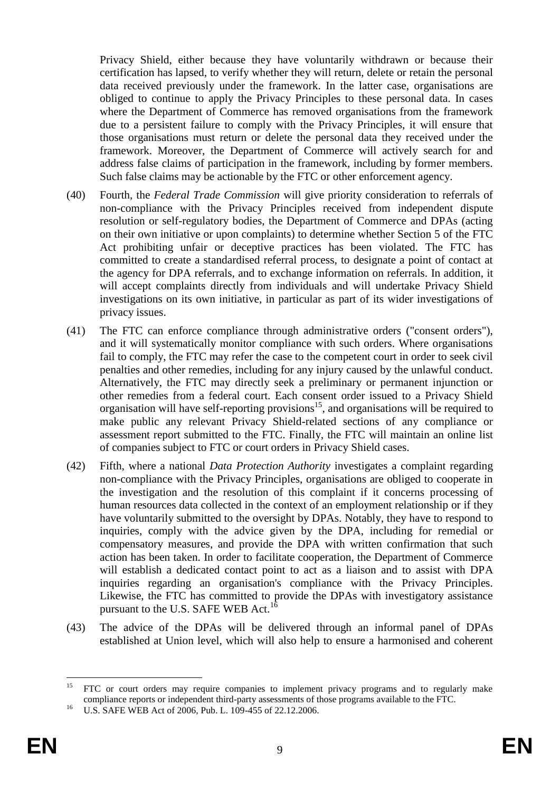Privacy Shield, either because they have voluntarily withdrawn or because their certification has lapsed, to verify whether they will return, delete or retain the personal data received previously under the framework. In the latter case, organisations are obliged to continue to apply the Privacy Principles to these personal data. In cases where the Department of Commerce has removed organisations from the framework due to a persistent failure to comply with the Privacy Principles, it will ensure that those organisations must return or delete the personal data they received under the framework. Moreover, the Department of Commerce will actively search for and address false claims of participation in the framework, including by former members. Such false claims may be actionable by the FTC or other enforcement agency.

- (40) Fourth, the *Federal Trade Commission* will give priority consideration to referrals of non-compliance with the Privacy Principles received from independent dispute resolution or self-regulatory bodies, the Department of Commerce and DPAs (acting on their own initiative or upon complaints) to determine whether Section 5 of the FTC Act prohibiting unfair or deceptive practices has been violated. The FTC has committed to create a standardised referral process, to designate a point of contact at the agency for DPA referrals, and to exchange information on referrals. In addition, it will accept complaints directly from individuals and will undertake Privacy Shield investigations on its own initiative, in particular as part of its wider investigations of privacy issues.
- (41) The FTC can enforce compliance through administrative orders ("consent orders"), and it will systematically monitor compliance with such orders. Where organisations fail to comply, the FTC may refer the case to the competent court in order to seek civil penalties and other remedies, including for any injury caused by the unlawful conduct. Alternatively, the FTC may directly seek a preliminary or permanent injunction or other remedies from a federal court. Each consent order issued to a Privacy Shield organisation will have self-reporting provisions<sup>15</sup>, and organisations will be required to make public any relevant Privacy Shield-related sections of any compliance or assessment report submitted to the FTC. Finally, the FTC will maintain an online list of companies subject to FTC or court orders in Privacy Shield cases.
- (42) Fifth, where a national *Data Protection Authority* investigates a complaint regarding non-compliance with the Privacy Principles, organisations are obliged to cooperate in the investigation and the resolution of this complaint if it concerns processing of human resources data collected in the context of an employment relationship or if they have voluntarily submitted to the oversight by DPAs. Notably, they have to respond to inquiries, comply with the advice given by the DPA, including for remedial or compensatory measures, and provide the DPA with written confirmation that such action has been taken. In order to facilitate cooperation, the Department of Commerce will establish a dedicated contact point to act as a liaison and to assist with DPA inquiries regarding an organisation's compliance with the Privacy Principles. Likewise, the FTC has committed to provide the DPAs with investigatory assistance pursuant to the U.S. SAFE WEB Act.<sup>16</sup>
- (43) The advice of the DPAs will be delivered through an informal panel of DPAs established at Union level, which will also help to ensure a harmonised and coherent

<sup>15</sup> <sup>15</sup> FTC or court orders may require companies to implement privacy programs and to regularly make compliance reports or independent third-party assessments of those programs available to the FTC.

<sup>&</sup>lt;sup>16</sup> U.S. SAFE WEB Act of 2006, Pub. L. 109-455 of 22.12.2006.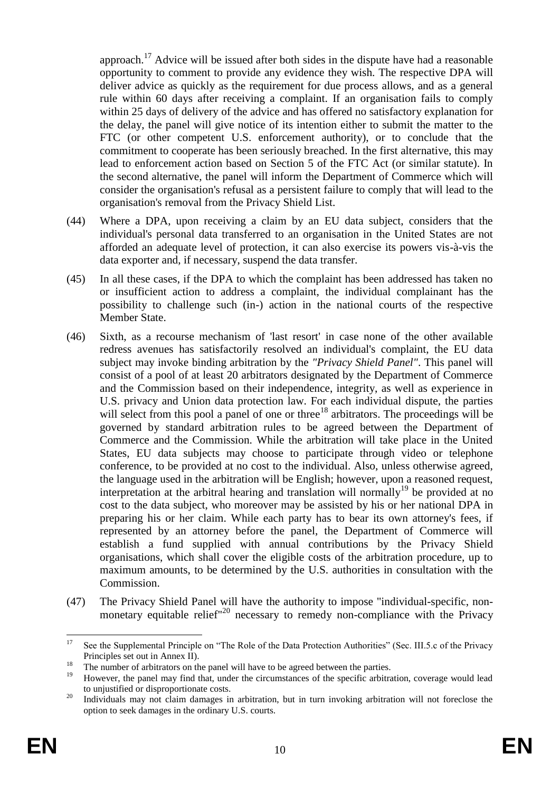approach.<sup>17</sup> Advice will be issued after both sides in the dispute have had a reasonable opportunity to comment to provide any evidence they wish. The respective DPA will deliver advice as quickly as the requirement for due process allows, and as a general rule within 60 days after receiving a complaint. If an organisation fails to comply within 25 days of delivery of the advice and has offered no satisfactory explanation for the delay, the panel will give notice of its intention either to submit the matter to the FTC (or other competent U.S. enforcement authority), or to conclude that the commitment to cooperate has been seriously breached. In the first alternative, this may lead to enforcement action based on Section 5 of the FTC Act (or similar statute). In the second alternative, the panel will inform the Department of Commerce which will consider the organisation's refusal as a persistent failure to comply that will lead to the organisation's removal from the Privacy Shield List.

- (44) Where a DPA, upon receiving a claim by an EU data subject, considers that the individual's personal data transferred to an organisation in the United States are not afforded an adequate level of protection, it can also exercise its powers vis-à-vis the data exporter and, if necessary, suspend the data transfer.
- (45) In all these cases, if the DPA to which the complaint has been addressed has taken no or insufficient action to address a complaint, the individual complainant has the possibility to challenge such (in-) action in the national courts of the respective Member State.
- (46) Sixth, as a recourse mechanism of 'last resort' in case none of the other available redress avenues has satisfactorily resolved an individual's complaint, the EU data subject may invoke binding arbitration by the *"Privacy Shield Panel"*. This panel will consist of a pool of at least 20 arbitrators designated by the Department of Commerce and the Commission based on their independence, integrity, as well as experience in U.S. privacy and Union data protection law. For each individual dispute, the parties will select from this pool a panel of one or three<sup>18</sup> arbitrators. The proceedings will be governed by standard arbitration rules to be agreed between the Department of Commerce and the Commission. While the arbitration will take place in the United States, EU data subjects may choose to participate through video or telephone conference, to be provided at no cost to the individual. Also, unless otherwise agreed, the language used in the arbitration will be English; however, upon a reasoned request, interpretation at the arbitral hearing and translation will normally<sup>19</sup> be provided at no cost to the data subject, who moreover may be assisted by his or her national DPA in preparing his or her claim. While each party has to bear its own attorney's fees, if represented by an attorney before the panel, the Department of Commerce will establish a fund supplied with annual contributions by the Privacy Shield organisations, which shall cover the eligible costs of the arbitration procedure, up to maximum amounts, to be determined by the U.S. authorities in consultation with the Commission.
- (47) The Privacy Shield Panel will have the authority to impose "individual-specific, nonmonetary equitable relief<sup>"20</sup> necessary to remedy non-compliance with the Privacy

 $17$ See the Supplemental Principle on "The Role of the Data Protection Authorities" (Sec. III.5.c of the Privacy Principles set out in Annex II).

<sup>&</sup>lt;sup>18</sup><br><sup>18</sup> The number of arbitrators on the panel will have to be agreed between the parties.<br>In number of arbitrators on the parties of the president in the partition of the president in the partition

<sup>19</sup> However, the panel may find that, under the circumstances of the specific arbitration, coverage would lead to unjustified or disproportionate costs.

<sup>&</sup>lt;sup>20</sup> Individuals may not claim damages in arbitration, but in turn invoking arbitration will not foreclose the option to seek damages in the ordinary U.S. courts.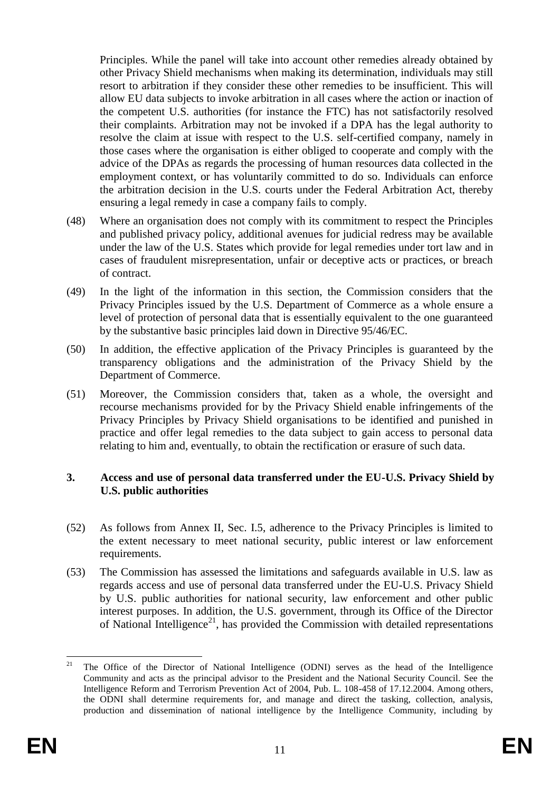Principles. While the panel will take into account other remedies already obtained by other Privacy Shield mechanisms when making its determination, individuals may still resort to arbitration if they consider these other remedies to be insufficient. This will allow EU data subjects to invoke arbitration in all cases where the action or inaction of the competent U.S. authorities (for instance the FTC) has not satisfactorily resolved their complaints. Arbitration may not be invoked if a DPA has the legal authority to resolve the claim at issue with respect to the U.S. self-certified company, namely in those cases where the organisation is either obliged to cooperate and comply with the advice of the DPAs as regards the processing of human resources data collected in the employment context, or has voluntarily committed to do so. Individuals can enforce the arbitration decision in the U.S. courts under the Federal Arbitration Act, thereby ensuring a legal remedy in case a company fails to comply.

- (48) Where an organisation does not comply with its commitment to respect the Principles and published privacy policy, additional avenues for judicial redress may be available under the law of the U.S. States which provide for legal remedies under tort law and in cases of fraudulent misrepresentation, unfair or deceptive acts or practices, or breach of contract.
- (49) In the light of the information in this section, the Commission considers that the Privacy Principles issued by the U.S. Department of Commerce as a whole ensure a level of protection of personal data that is essentially equivalent to the one guaranteed by the substantive basic principles laid down in Directive 95/46/EC.
- (50) In addition, the effective application of the Privacy Principles is guaranteed by the transparency obligations and the administration of the Privacy Shield by the Department of Commerce.
- (51) Moreover, the Commission considers that, taken as a whole, the oversight and recourse mechanisms provided for by the Privacy Shield enable infringements of the Privacy Principles by Privacy Shield organisations to be identified and punished in practice and offer legal remedies to the data subject to gain access to personal data relating to him and, eventually, to obtain the rectification or erasure of such data.

#### **3. Access and use of personal data transferred under the EU-U.S. Privacy Shield by U.S. public authorities**

- (52) As follows from Annex II, Sec. I.5, adherence to the Privacy Principles is limited to the extent necessary to meet national security, public interest or law enforcement requirements.
- (53) The Commission has assessed the limitations and safeguards available in U.S. law as regards access and use of personal data transferred under the EU-U.S. Privacy Shield by U.S. public authorities for national security, law enforcement and other public interest purposes. In addition, the U.S. government, through its Office of the Director of National Intelligence<sup>21</sup>, has provided the Commission with detailed representations

 $21$ <sup>21</sup> The Office of the Director of National Intelligence (ODNI) serves as the head of the Intelligence Community and acts as the principal advisor to the President and the National Security Council. See the Intelligence Reform and Terrorism Prevention Act of 2004, Pub. L. 108-458 of 17.12.2004. Among others, the ODNI shall determine requirements for, and manage and direct the tasking, collection, analysis, production and dissemination of national intelligence by the Intelligence Community, including by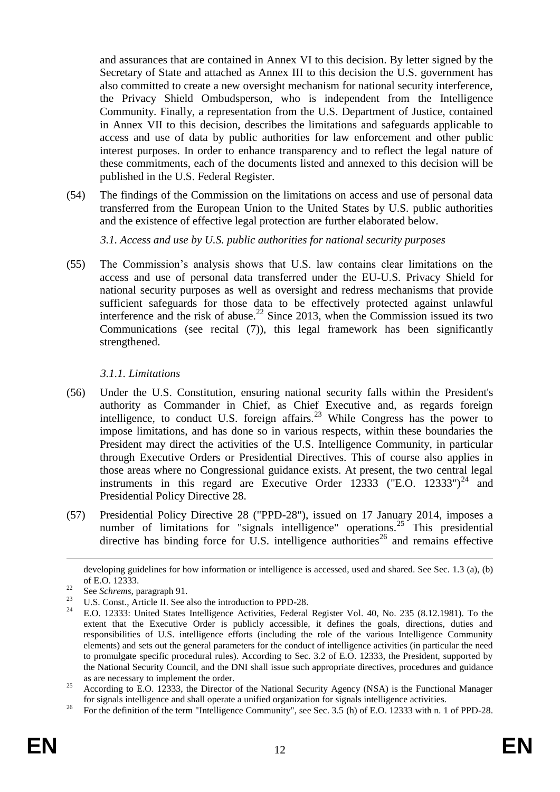and assurances that are contained in Annex VI to this decision. By letter signed by the Secretary of State and attached as Annex III to this decision the U.S. government has also committed to create a new oversight mechanism for national security interference, the Privacy Shield Ombudsperson, who is independent from the Intelligence Community. Finally, a representation from the U.S. Department of Justice, contained in Annex VII to this decision, describes the limitations and safeguards applicable to access and use of data by public authorities for law enforcement and other public interest purposes. In order to enhance transparency and to reflect the legal nature of these commitments, each of the documents listed and annexed to this decision will be published in the U.S. Federal Register.

(54) The findings of the Commission on the limitations on access and use of personal data transferred from the European Union to the United States by U.S. public authorities and the existence of effective legal protection are further elaborated below.

*3.1. Access and use by U.S. public authorities for national security purposes*

(55) The Commission's analysis shows that U.S. law contains clear limitations on the access and use of personal data transferred under the EU-U.S. Privacy Shield for national security purposes as well as oversight and redress mechanisms that provide sufficient safeguards for those data to be effectively protected against unlawful interference and the risk of abuse.<sup>22</sup> Since 2013, when the Commission issued its two Communications (see recital [\(7\)\)](#page-1-0), this legal framework has been significantly strengthened.

# *3.1.1. Limitations*

- (56) Under the U.S. Constitution, ensuring national security falls within the President's authority as Commander in Chief, as Chief Executive and, as regards foreign intelligence, to conduct U.S. foreign affairs.<sup>23</sup> While Congress has the power to impose limitations, and has done so in various respects, within these boundaries the President may direct the activities of the U.S. Intelligence Community, in particular through Executive Orders or Presidential Directives. This of course also applies in those areas where no Congressional guidance exists. At present, the two central legal instruments in this regard are Executive Order 12333 ("E.O. 12333")<sup>24</sup> and Presidential Policy Directive 28.
- (57) Presidential Policy Directive 28 ("PPD-28"), issued on 17 January 2014, imposes a number of limitations for "signals intelligence" operations.<sup>25</sup> This presidential directive has binding force for U.S. intelligence authorities<sup>26</sup> and remains effective

 $\overline{a}$ 

developing guidelines for how information or intelligence is accessed, used and shared. See Sec. 1.3 (a), (b) of E.O. 12333.

 $\frac{22}{23}$  See *Schrems*, paragraph 91.

<sup>&</sup>lt;sup>23</sup> U.S. Const., Article II. See also the introduction to PPD-28.<br><sup>24</sup> E.O. 12222: United States Intelligence Activities. Esdaval.

<sup>24</sup> E.O. 12333: United States Intelligence Activities, Federal Register Vol. 40, No. 235 (8.12.1981). To the extent that the Executive Order is publicly accessible, it defines the goals, directions, duties and responsibilities of U.S. intelligence efforts (including the role of the various Intelligence Community elements) and sets out the general parameters for the conduct of intelligence activities (in particular the need to promulgate specific procedural rules). According to Sec. 3.2 of E.O. 12333, the President, supported by the National Security Council, and the DNI shall issue such appropriate directives, procedures and guidance as are necessary to implement the order.

<sup>&</sup>lt;sup>25</sup> According to E.O. 12333, the Director of the National Security Agency (NSA) is the Functional Manager for signals intelligence and shall operate a unified organization for signals intelligence activities.

<sup>&</sup>lt;sup>26</sup> For the definition of the term "Intelligence Community", see Sec. 3.5 (h) of E.O. 12333 with n. 1 of PPD-28.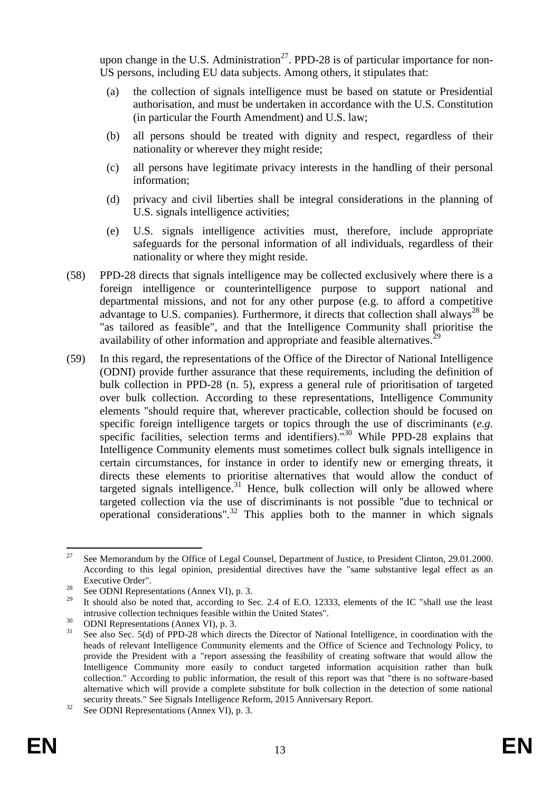upon change in the U.S. Administration<sup>27</sup>. PPD-28 is of particular importance for non-US persons, including EU data subjects. Among others, it stipulates that:

- (a) the collection of signals intelligence must be based on statute or Presidential authorisation, and must be undertaken in accordance with the U.S. Constitution (in particular the Fourth Amendment) and U.S. law;
- (b) all persons should be treated with dignity and respect, regardless of their nationality or wherever they might reside;
- (c) all persons have legitimate privacy interests in the handling of their personal information;
- (d) privacy and civil liberties shall be integral considerations in the planning of U.S. signals intelligence activities;
- (e) U.S. signals intelligence activities must, therefore, include appropriate safeguards for the personal information of all individuals, regardless of their nationality or where they might reside.
- <span id="page-12-0"></span>(58) PPD-28 directs that signals intelligence may be collected exclusively where there is a foreign intelligence or counterintelligence purpose to support national and departmental missions, and not for any other purpose (e.g. to afford a competitive advantage to U.S. companies). Furthermore, it directs that collection shall always<sup>28</sup> be "as tailored as feasible", and that the Intelligence Community shall prioritise the availability of other information and appropriate and feasible alternatives.<sup>29</sup>
- (59) In this regard, the representations of the Office of the Director of National Intelligence (ODNI) provide further assurance that these requirements, including the definition of bulk collection in PPD-28 (n. 5), express a general rule of prioritisation of targeted over bulk collection. According to these representations, Intelligence Community elements "should require that, wherever practicable, collection should be focused on specific foreign intelligence targets or topics through the use of discriminants (*e.g.* specific facilities, selection terms and identifiers).<sup>"30</sup> While PPD-28 explains that Intelligence Community elements must sometimes collect bulk signals intelligence in certain circumstances, for instance in order to identify new or emerging threats, it directs these elements to prioritise alternatives that would allow the conduct of targeted signals intelligence.<sup>31</sup> Hence, bulk collection will only be allowed where targeted collection via the use of discriminants is not possible "due to technical or operational considerations".<sup>32</sup> This applies both to the manner in which signals

 $27$ <sup>27</sup> See Memorandum by the Office of Legal Counsel, Department of Justice, to President Clinton, 29.01.2000. According to this legal opinion, presidential directives have the "same substantive legal effect as an Executive Order".

<sup>&</sup>lt;sup>28</sup> See ODNI Representations (Annex VI), p. 3.

It should also be noted that, according to Sec. 2.4 of E.O. 12333, elements of the IC "shall use the least intrusive collection techniques feasible within the United States".

 $30$  ODNI Representations (Annex VI), p. 3.

See also Sec. 5(d) of PPD-28 which directs the Director of National Intelligence, in coordination with the heads of relevant Intelligence Community elements and the Office of Science and Technology Policy, to provide the President with a "report assessing the feasibility of creating software that would allow the Intelligence Community more easily to conduct targeted information acquisition rather than bulk collection." According to public information, the result of this report was that "there is no software-based alternative which will provide a complete substitute for bulk collection in the detection of some national security threats." See Signals Intelligence Reform, 2015 Anniversary Report.

<sup>&</sup>lt;sup>32</sup> See ODNI Representations (Annex VI), p. 3.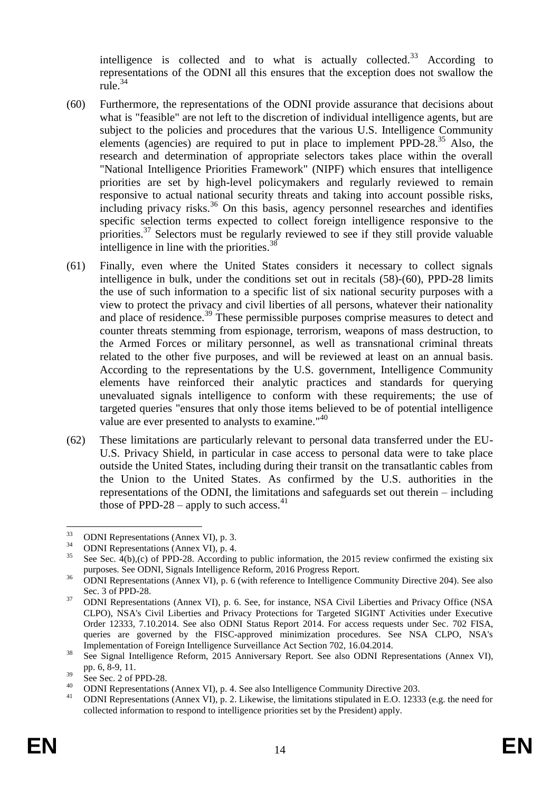intelligence is collected and to what is actually collected.<sup>33</sup> According to representations of the ODNI all this ensures that the exception does not swallow the rule.<sup>34</sup>

- <span id="page-13-0"></span>(60) Furthermore, the representations of the ODNI provide assurance that decisions about what is "feasible" are not left to the discretion of individual intelligence agents, but are subject to the policies and procedures that the various U.S. Intelligence Community elements (agencies) are required to put in place to implement PPD-28. $^{35}$  Also, the research and determination of appropriate selectors takes place within the overall "National Intelligence Priorities Framework" (NIPF) which ensures that intelligence priorities are set by high-level policymakers and regularly reviewed to remain responsive to actual national security threats and taking into account possible risks, including privacy risks.<sup>36</sup> On this basis, agency personnel researches and identifies specific selection terms expected to collect foreign intelligence responsive to the priorities.<sup>37</sup> Selectors must be regularly reviewed to see if they still provide valuable intelligence in line with the priorities.<sup>38</sup>
- (61) Finally, even where the United States considers it necessary to collect signals intelligence in bulk, under the conditions set out in recitals [\(58\)](#page-12-0)[-\(60\),](#page-13-0) PPD-28 limits the use of such information to a specific list of six national security purposes with a view to protect the privacy and civil liberties of all persons, whatever their nationality and place of residence.<sup>39</sup> These permissible purposes comprise measures to detect and counter threats stemming from espionage, terrorism, weapons of mass destruction, to the Armed Forces or military personnel, as well as transnational criminal threats related to the other five purposes, and will be reviewed at least on an annual basis. According to the representations by the U.S. government, Intelligence Community elements have reinforced their analytic practices and standards for querying unevaluated signals intelligence to conform with these requirements; the use of targeted queries "ensures that only those items believed to be of potential intelligence value are ever presented to analysts to examine."<sup>40</sup>
- (62) These limitations are particularly relevant to personal data transferred under the EU-U.S. Privacy Shield, in particular in case access to personal data were to take place outside the United States, including during their transit on the transatlantic cables from the Union to the United States. As confirmed by the U.S. authorities in the representations of the ODNI, the limitations and safeguards set out therein – including those of PPD-28 – apply to such access.<sup>41</sup>

 $33$  $\frac{33}{34}$  ODNI Representations (Annex VI), p. 3.

 $34$  ODNI Representations (Annex VI), p. 4.

See Sec.  $4(b)$ ,(c) of PPD-28. According to public information, the 2015 review confirmed the existing six purposes. See ODNI, Signals Intelligence Reform, 2016 Progress Report.

<sup>&</sup>lt;sup>36</sup> ODNI Representations (Annex VI), p. 6 (with reference to Intelligence Community Directive 204). See also Sec. 3 of PPD-28.

<sup>&</sup>lt;sup>37</sup> ODNI Representations (Annex VI), p. 6. See, for instance, NSA Civil Liberties and Privacy Office (NSA CLPO), NSA's Civil Liberties and Privacy Protections for Targeted SIGINT Activities under Executive Order 12333, 7.10.2014. See also ODNI Status Report 2014. For access requests under Sec. 702 FISA, queries are governed by the FISC-approved minimization procedures. See NSA CLPO, NSA's Implementation of Foreign Intelligence Surveillance Act Section 702, 16.04.2014.

<sup>&</sup>lt;sup>38</sup> See Signal Intelligence Reform, 2015 Anniversary Report. See also ODNI Representations (Annex VI), pp. 6, 8-9, 11.

 $rac{39}{40}$  See Sec. 2 of PPD-28.

<sup>&</sup>lt;sup>40</sup> ODNI Representations (Annex VI), p. 4. See also Intelligence Community Directive 203.

<sup>41</sup> ODNI Representations (Annex VI), p. 2. Likewise, the limitations stipulated in E.O. 12333 (e.g. the need for collected information to respond to intelligence priorities set by the President) apply.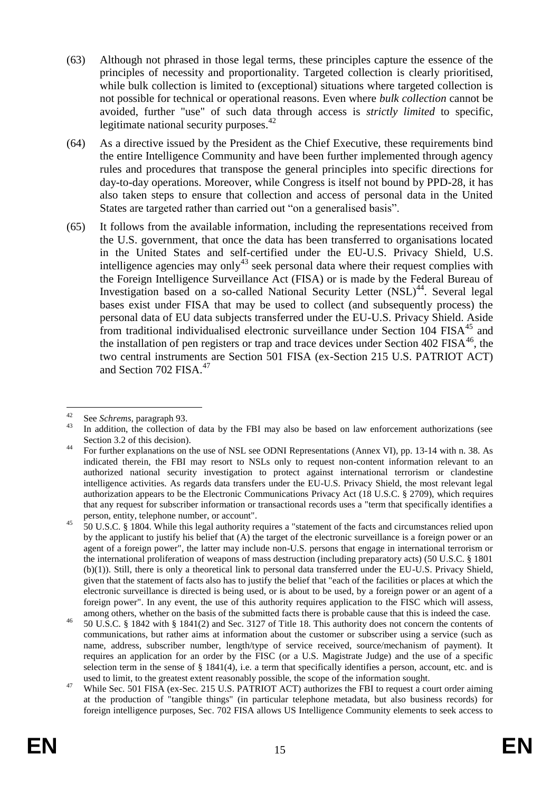- (63) Although not phrased in those legal terms, these principles capture the essence of the principles of necessity and proportionality. Targeted collection is clearly prioritised, while bulk collection is limited to (exceptional) situations where targeted collection is not possible for technical or operational reasons. Even where *bulk collection* cannot be avoided, further "use" of such data through access is *strictly limited* to specific, legitimate national security purposes. $42$
- (64) As a directive issued by the President as the Chief Executive, these requirements bind the entire Intelligence Community and have been further implemented through agency rules and procedures that transpose the general principles into specific directions for day-to-day operations. Moreover, while Congress is itself not bound by PPD-28, it has also taken steps to ensure that collection and access of personal data in the United States are targeted rather than carried out "on a generalised basis".
- (65) It follows from the available information, including the representations received from the U.S. government, that once the data has been transferred to organisations located in the United States and self-certified under the EU-U.S. Privacy Shield, U.S. intelligence agencies may only<sup>43</sup> seek personal data where their request complies with the Foreign Intelligence Surveillance Act (FISA) or is made by the Federal Bureau of Investigation based on a so-called National Security Letter (NSL)<sup>44</sup>. Several legal bases exist under FISA that may be used to collect (and subsequently process) the personal data of EU data subjects transferred under the EU-U.S. Privacy Shield. Aside from traditional individualised electronic surveillance under Section 104 FISA<sup>45</sup> and the installation of pen registers or trap and trace devices under Section  $402$  FISA<sup>46</sup>, the two central instruments are Section 501 FISA (ex-Section 215 U.S. PATRIOT ACT) and Section 702 FISA.<sup>47</sup>

<span id="page-14-0"></span> $42$ <sup>42</sup> See *Schrems*, paragraph 93.

In addition, the collection of data by the FBI may also be based on law enforcement authorizations (see Section 3.2 of this decision).

<sup>&</sup>lt;sup>44</sup> For further explanations on the use of NSL see ODNI Representations (Annex VI), pp. 13-14 with n. 38. As indicated therein, the FBI may resort to NSLs only to request non-content information relevant to an authorized national security investigation to protect against international terrorism or clandestine intelligence activities. As regards data transfers under the EU-U.S. Privacy Shield, the most relevant legal authorization appears to be the Electronic Communications Privacy Act (18 U.S.C. § 2709), which requires that any request for subscriber information or transactional records uses a "term that specifically identifies a person, entity, telephone number, or account".

<sup>45</sup> 50 U.S.C. § 1804. While this legal authority requires a "statement of the facts and circumstances relied upon by the applicant to justify his belief that (A) the target of the electronic surveillance is a foreign power or an agent of a foreign power", the latter may include non-U.S. persons that engage in international terrorism or the international proliferation of weapons of mass destruction (including preparatory acts) (50 U.S.C. § 1801 (b)(1)). Still, there is only a theoretical link to personal data transferred under the EU-U.S. Privacy Shield, given that the statement of facts also has to justify the belief that "each of the facilities or places at which the electronic surveillance is directed is being used, or is about to be used, by a foreign power or an agent of a foreign power". In any event, the use of this authority requires application to the FISC which will assess, among others, whether on the basis of the submitted facts there is probable cause that this is indeed the case.

<sup>46</sup> 50 U.S.C. § 1842 with § 1841(2) and Sec. 3127 of Title 18. This authority does not concern the contents of communications, but rather aims at information about the customer or subscriber using a service (such as name, address, subscriber number, length/type of service received, source/mechanism of payment). It requires an application for an order by the FISC (or a U.S. Magistrate Judge) and the use of a specific selection term in the sense of  $\S 1841(4)$ , i.e. a term that specifically identifies a person, account, etc. and is used to limit, to the greatest extent reasonably possible, the scope of the information sought.

<sup>&</sup>lt;sup>47</sup> While Sec. 501 FISA (ex-Sec. 215 U.S. PATRIOT ACT) authorizes the FBI to request a court order aiming at the production of "tangible things" (in particular telephone metadata, but also business records) for foreign intelligence purposes, Sec. 702 FISA allows US Intelligence Community elements to seek access to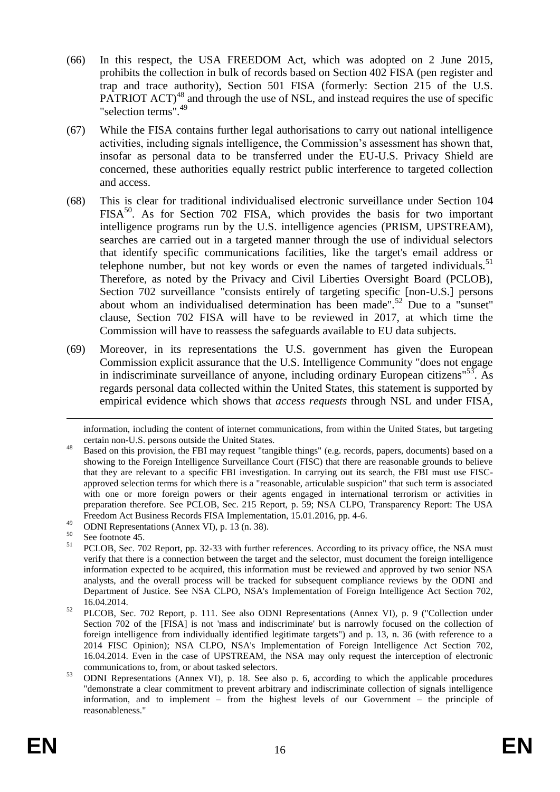- (66) In this respect, the USA FREEDOM Act, which was adopted on 2 June 2015, prohibits the collection in bulk of records based on Section 402 FISA (pen register and trap and trace authority), Section 501 FISA (formerly: Section 215 of the U.S. PATRIOT  $ACT)^{48}$  and through the use of NSL, and instead requires the use of specific "selection terms".<sup>49</sup>
- (67) While the FISA contains further legal authorisations to carry out national intelligence activities, including signals intelligence, the Commission's assessment has shown that, insofar as personal data to be transferred under the EU-U.S. Privacy Shield are concerned, these authorities equally restrict public interference to targeted collection and access.
- (68) This is clear for traditional individualised electronic surveillance under Section 104  $FISA<sup>50</sup>$ . As for Section 702 FISA, which provides the basis for two important intelligence programs run by the U.S. intelligence agencies (PRISM, UPSTREAM), searches are carried out in a targeted manner through the use of individual selectors that identify specific communications facilities, like the target's email address or telephone number, but not key words or even the names of targeted individuals.<sup>51</sup> Therefore, as noted by the Privacy and Civil Liberties Oversight Board (PCLOB), Section 702 surveillance "consists entirely of targeting specific [non-U.S.] persons about whom an individualised determination has been made".<sup>52</sup> Due to a "sunset" clause, Section 702 FISA will have to be reviewed in 2017, at which time the Commission will have to reassess the safeguards available to EU data subjects.
- (69) Moreover, in its representations the U.S. government has given the European Commission explicit assurance that the U.S. Intelligence Community "does not engage in indiscriminate surveillance of anyone, including ordinary European citizens<sup>"53</sup>. As regards personal data collected within the United States, this statement is supported by empirical evidence which shows that *access requests* through NSL and under FISA,

 $\overline{a}$ 

information, including the content of internet communications, from within the United States, but targeting certain non-U.S. persons outside the United States.

<sup>48</sup> Based on this provision, the FBI may request "tangible things" (e.g. records, papers, documents) based on a showing to the Foreign Intelligence Surveillance Court (FISC) that there are reasonable grounds to believe that they are relevant to a specific FBI investigation. In carrying out its search, the FBI must use FISCapproved selection terms for which there is a "reasonable, articulable suspicion" that such term is associated with one or more foreign powers or their agents engaged in international terrorism or activities in preparation therefore. See PCLOB, Sec. 215 Report, p. 59; NSA CLPO, Transparency Report: The USA Freedom Act Business Records FISA Implementation, 15.01.2016, pp. 4-6.

<sup>49</sup> ODNI Representations (Annex VI), p. 13 (n. 38).

 $50^{\circ}$  See footnote [45.](#page-14-0)

<sup>51</sup> PCLOB, Sec. 702 Report, pp. 32-33 with further references. According to its privacy office, the NSA must verify that there is a connection between the target and the selector, must document the foreign intelligence information expected to be acquired, this information must be reviewed and approved by two senior NSA analysts, and the overall process will be tracked for subsequent compliance reviews by the ODNI and Department of Justice. See NSA CLPO, NSA's Implementation of Foreign Intelligence Act Section 702, 16.04.2014.

<sup>52</sup> PLCOB, Sec. 702 Report, p. 111. See also ODNI Representations (Annex VI), p. 9 ("Collection under Section 702 of the [FISA] is not 'mass and indiscriminate' but is narrowly focused on the collection of foreign intelligence from individually identified legitimate targets") and p. 13, n. 36 (with reference to a 2014 FISC Opinion); NSA CLPO, NSA's Implementation of Foreign Intelligence Act Section 702, 16.04.2014. Even in the case of UPSTREAM, the NSA may only request the interception of electronic communications to, from, or about tasked selectors.

<sup>53</sup> ODNI Representations (Annex VI), p. 18. See also p. 6, according to which the applicable procedures "demonstrate a clear commitment to prevent arbitrary and indiscriminate collection of signals intelligence information, and to implement – from the highest levels of our Government – the principle of reasonableness."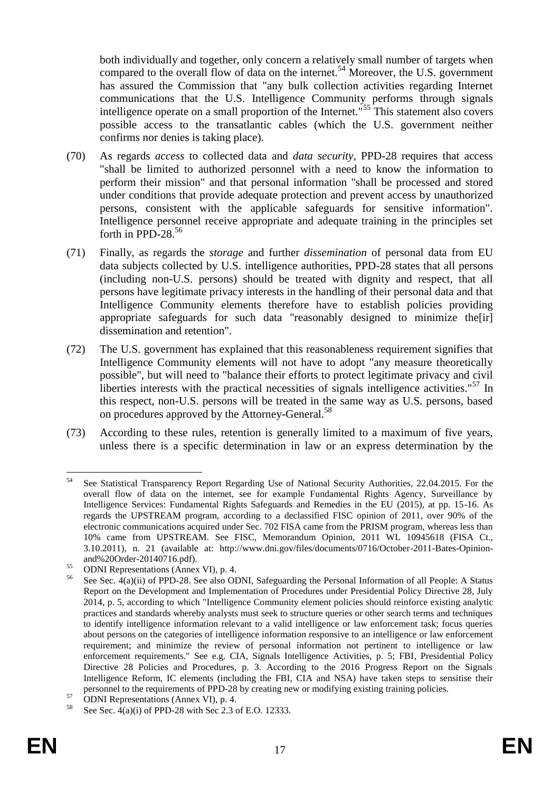both individually and together, only concern a relatively small number of targets when compared to the overall flow of data on the internet.<sup>54</sup> Moreover, the U.S. government has assured the Commission that "any bulk collection activities regarding Internet communications that the U.S. Intelligence Community performs through signals intelligence operate on a small proportion of the Internet."<sup>55</sup> This statement also covers possible access to the transatlantic cables (which the U.S. government neither confirms nor denies is taking place).

- (70) As regards *access* to collected data and *data security*, PPD-28 requires that access "shall be limited to authorized personnel with a need to know the information to perform their mission" and that personal information "shall be processed and stored under conditions that provide adequate protection and prevent access by unauthorized persons, consistent with the applicable safeguards for sensitive information". Intelligence personnel receive appropriate and adequate training in the principles set forth in PPD-28. $56$
- (71) Finally, as regards the *storage* and further *dissemination* of personal data from EU data subjects collected by U.S. intelligence authorities, PPD-28 states that all persons (including non-U.S. persons) should be treated with dignity and respect, that all persons have legitimate privacy interests in the handling of their personal data and that Intelligence Community elements therefore have to establish policies providing appropriate safeguards for such data "reasonably designed to minimize the[ir] dissemination and retention".
- (72) The U.S. government has explained that this reasonableness requirement signifies that Intelligence Community elements will not have to adopt "any measure theoretically possible", but will need to "balance their efforts to protect legitimate privacy and civil liberties interests with the practical necessities of signals intelligence activities."<sup>57</sup> In this respect, non-U.S. persons will be treated in the same way as U.S. persons, based on procedures approved by the Attorney-General.<sup>58</sup>
- (73) According to these rules, retention is generally limited to a maximum of five years, unless there is a specific determination in law or an express determination by the

<sup>54</sup> See Statistical Transparency Report Regarding Use of National Security Authorities, 22.04.2015. For the overall flow of data on the internet, see for example Fundamental Rights Agency, Surveillance by Intelligence Services: Fundamental Rights Safeguards and Remedies in the EU (2015), at pp. 15-16. As regards the UPSTREAM program, according to a declassified FISC opinion of 2011, over 90% of the electronic communications acquired under Sec. 702 FISA came from the PRISM program, whereas less than 10% came from UPSTREAM. See FISC, Memorandum Opinion, 2011 WL 10945618 (FISA Ct., 3.10.2011), n. 21 (available at: http://www.dni.gov/files/documents/0716/October-2011-Bates-Opinionand%20Order-20140716.pdf).

<sup>&</sup>lt;sup>55</sup> ODNI Representations (Annex VI), p. 4.<br> $\frac{56}{2}$  See See 4(e)(ii) of PPD 38. See also OL

See Sec.  $\frac{4}{4}$ (a)(ii) of PPD-28. See also ODNI, Safeguarding the Personal Information of all People: A Status Report on the Development and Implementation of Procedures under Presidential Policy Directive 28, July 2014, p. 5, according to which "Intelligence Community element policies should reinforce existing analytic practices and standards whereby analysts must seek to structure queries or other search terms and techniques to identify intelligence information relevant to a valid intelligence or law enforcement task; focus queries about persons on the categories of intelligence information responsive to an intelligence or law enforcement requirement; and minimize the review of personal information not pertinent to intelligence or law enforcement requirements." See e.g. CIA, Signals Intelligence Activities, p. 5; FBI, Presidential Policy Directive 28 Policies and Procedures, p. 3. According to the 2016 Progress Report on the Signals Intelligence Reform, IC elements (including the FBI, CIA and NSA) have taken steps to sensitise their personnel to the requirements of PPD-28 by creating new or modifying existing training policies.

 $57$  ODNI Representations (Annex VI), p. 4.

See Sec. 4(a)(i) of PPD-28 with Sec 2.3 of E.O. 12333.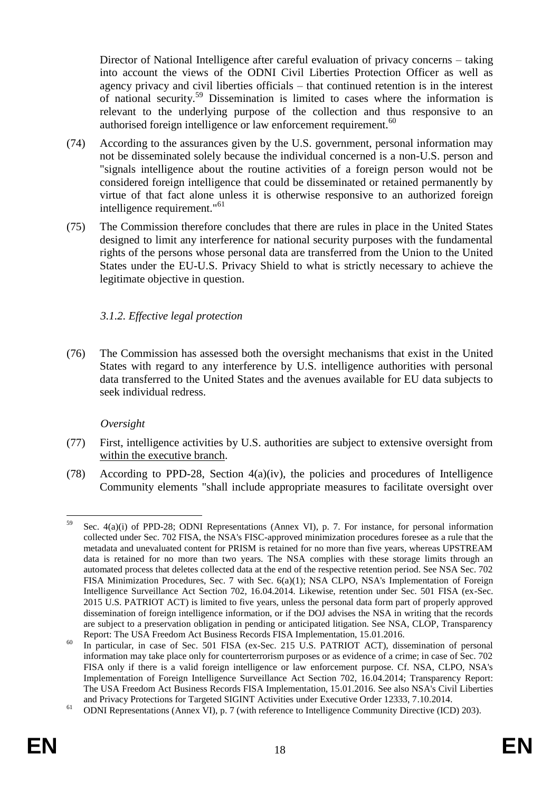Director of National Intelligence after careful evaluation of privacy concerns – taking into account the views of the ODNI Civil Liberties Protection Officer as well as agency privacy and civil liberties officials – that continued retention is in the interest of national security.<sup>59</sup> Dissemination is limited to cases where the information is relevant to the underlying purpose of the collection and thus responsive to an authorised foreign intelligence or law enforcement requirement.<sup>60</sup>

- (74) According to the assurances given by the U.S. government, personal information may not be disseminated solely because the individual concerned is a non-U.S. person and "signals intelligence about the routine activities of a foreign person would not be considered foreign intelligence that could be disseminated or retained permanently by virtue of that fact alone unless it is otherwise responsive to an authorized foreign intelligence requirement."<sup>61</sup>
- (75) The Commission therefore concludes that there are rules in place in the United States designed to limit any interference for national security purposes with the fundamental rights of the persons whose personal data are transferred from the Union to the United States under the EU-U.S. Privacy Shield to what is strictly necessary to achieve the legitimate objective in question.

# *3.1.2. Effective legal protection*

(76) The Commission has assessed both the oversight mechanisms that exist in the United States with regard to any interference by U.S. intelligence authorities with personal data transferred to the United States and the avenues available for EU data subjects to seek individual redress.

# *Oversight*

- (77) First, intelligence activities by U.S. authorities are subject to extensive oversight from within the executive branch.
- (78) According to PPD-28, Section 4(a)(iv), the policies and procedures of Intelligence Community elements "shall include appropriate measures to facilitate oversight over

<sup>59</sup> <sup>59</sup> Sec. 4(a)(i) of PPD-28; ODNI Representations (Annex VI), p. 7. For instance, for personal information collected under Sec. 702 FISA, the NSA's FISC-approved minimization procedures foresee as a rule that the metadata and unevaluated content for PRISM is retained for no more than five years, whereas UPSTREAM data is retained for no more than two years. The NSA complies with these storage limits through an automated process that deletes collected data at the end of the respective retention period. See NSA Sec. 702 FISA Minimization Procedures, Sec. 7 with Sec. 6(a)(1); NSA CLPO, NSA's Implementation of Foreign Intelligence Surveillance Act Section 702, 16.04.2014. Likewise, retention under Sec. 501 FISA (ex-Sec. 2015 U.S. PATRIOT ACT) is limited to five years, unless the personal data form part of properly approved dissemination of foreign intelligence information, or if the DOJ advises the NSA in writing that the records are subject to a preservation obligation in pending or anticipated litigation. See NSA, CLOP, Transparency Report: The USA Freedom Act Business Records FISA Implementation, 15.01.2016.

 $^{60}$  In particular, in case of Sec. 501 FISA (ex-Sec. 215 U.S. PATRIOT ACT), dissemination of personal information may take place only for counterterrorism purposes or as evidence of a crime; in case of Sec. 702 FISA only if there is a valid foreign intelligence or law enforcement purpose. Cf. NSA, CLPO, NSA's Implementation of Foreign Intelligence Surveillance Act Section 702, 16.04.2014; Transparency Report: The USA Freedom Act Business Records FISA Implementation, 15.01.2016. See also NSA's Civil Liberties and Privacy Protections for Targeted SIGINT Activities under Executive Order 12333, 7.10.2014.

<sup>&</sup>lt;sup>61</sup> ODNI Representations (Annex VI), p. 7 (with reference to Intelligence Community Directive (ICD) 203).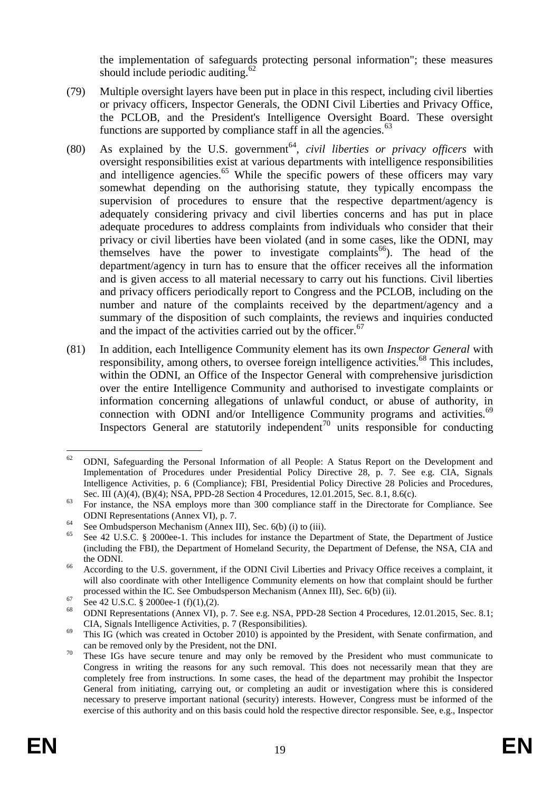the implementation of safeguards protecting personal information"; these measures should include periodic auditing. $62$ 

- (79) Multiple oversight layers have been put in place in this respect, including civil liberties or privacy officers, Inspector Generals, the ODNI Civil Liberties and Privacy Office, the PCLOB, and the President's Intelligence Oversight Board. These oversight functions are supported by compliance staff in all the agencies. $63$
- <span id="page-18-0"></span> $(80)$  As explained by the U.S. government<sup>64</sup>, *civil liberties or privacy officers* with oversight responsibilities exist at various departments with intelligence responsibilities and intelligence agencies.<sup>65</sup> While the specific powers of these officers may vary somewhat depending on the authorising statute, they typically encompass the supervision of procedures to ensure that the respective department/agency is adequately considering privacy and civil liberties concerns and has put in place adequate procedures to address complaints from individuals who consider that their privacy or civil liberties have been violated (and in some cases, like the ODNI, may themselves have the power to investigate complaints<sup>66</sup>). The head of the department/agency in turn has to ensure that the officer receives all the information and is given access to all material necessary to carry out his functions. Civil liberties and privacy officers periodically report to Congress and the PCLOB, including on the number and nature of the complaints received by the department/agency and a summary of the disposition of such complaints, the reviews and inquiries conducted and the impact of the activities carried out by the officer.<sup>67</sup>
- <span id="page-18-1"></span>(81) In addition, each Intelligence Community element has its own *Inspector General* with responsibility, among others, to oversee foreign intelligence activities.<sup>68</sup> This includes, within the ODNI, an Office of the Inspector General with comprehensive jurisdiction over the entire Intelligence Community and authorised to investigate complaints or information concerning allegations of unlawful conduct, or abuse of authority, in connection with ODNI and/or Intelligence Community programs and activities.<sup>69</sup> Inspectors General are statutorily independent<sup>70</sup> units responsible for conducting

<sup>62</sup> <sup>62</sup> ODNI, Safeguarding the Personal Information of all People: A Status Report on the Development and Implementation of Procedures under Presidential Policy Directive 28, p. 7. See e.g. CIA, Signals Intelligence Activities, p. 6 (Compliance); FBI, Presidential Policy Directive 28 Policies and Procedures, Sec. III (A)(4), (B)(4); NSA, PPD-28 Section 4 Procedures, 12.01.2015, Sec. 8.1, 8.6(c).

<sup>&</sup>lt;sup>63</sup> For instance, the NSA employs more than 300 compliance staff in the Directorate for Compliance. See ODNI Representations (Annex VI), p. 7.

<sup>&</sup>lt;sup>64</sup> See Ombudsperson Mechanism (Annex III), Sec. 6(b) (i) to (iii).

<sup>65</sup> See 42 U.S.C. § 2000ee-1. This includes for instance the Department of State, the Department of Justice (including the FBI), the Department of Homeland Security, the Department of Defense, the NSA, CIA and the ODNI.

<sup>&</sup>lt;sup>66</sup> According to the U.S. government, if the ODNI Civil Liberties and Privacy Office receives a complaint, it will also coordinate with other Intelligence Community elements on how that complaint should be further processed within the IC. See Ombudsperson Mechanism (Annex III), Sec. 6(b) (ii).

 $^{67}$  See 42 U.S.C. § 2000ee-1 (f)(1),(2).

<sup>68</sup> ODNI Representations (Annex VI), p. 7. See e.g. NSA, PPD-28 Section 4 Procedures, 12.01.2015, Sec. 8.1; CIA, Signals Intelligence Activities, p. 7 (Responsibilities).

<sup>&</sup>lt;sup>69</sup> This IG (which was created in October 2010) is appointed by the President, with Senate confirmation, and can be removed only by the President, not the DNI.

<sup>&</sup>lt;sup>70</sup> These IGs have secure tenure and may only be removed by the President who must communicate to Congress in writing the reasons for any such removal. This does not necessarily mean that they are completely free from instructions. In some cases, the head of the department may prohibit the Inspector General from initiating, carrying out, or completing an audit or investigation where this is considered necessary to preserve important national (security) interests. However, Congress must be informed of the exercise of this authority and on this basis could hold the respective director responsible. See, e.g., Inspector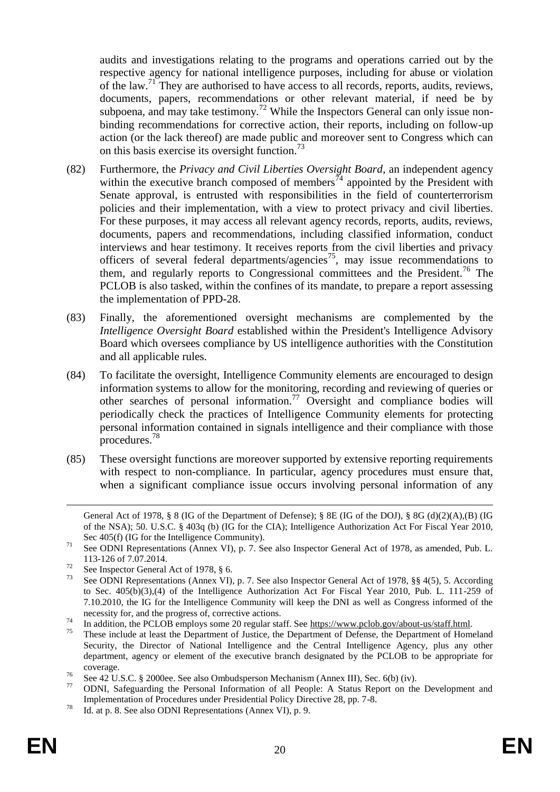audits and investigations relating to the programs and operations carried out by the respective agency for national intelligence purposes, including for abuse or violation of the law.<sup>71</sup> They are authorised to have access to all records, reports, audits, reviews, documents, papers, recommendations or other relevant material, if need be by subpoena, and may take testimony.<sup>72</sup> While the Inspectors General can only issue nonbinding recommendations for corrective action, their reports, including on follow-up action (or the lack thereof) are made public and moreover sent to Congress which can on this basis exercise its oversight function.<sup>73</sup>

- (82) Furthermore, the *Privacy and Civil Liberties Oversight Board*, an independent agency within the executive branch composed of members<sup> $\bar{7}4$ </sup> appointed by the President with Senate approval, is entrusted with responsibilities in the field of counterterrorism policies and their implementation, with a view to protect privacy and civil liberties. For these purposes, it may access all relevant agency records, reports, audits, reviews, documents, papers and recommendations, including classified information, conduct interviews and hear testimony. It receives reports from the civil liberties and privacy officers of several federal departments/agencies<sup>75</sup>, may issue recommendations to them, and regularly reports to Congressional committees and the President.<sup>76</sup> The PCLOB is also tasked, within the confines of its mandate, to prepare a report assessing the implementation of PPD-28.
- (83) Finally, the aforementioned oversight mechanisms are complemented by the *Intelligence Oversight Board* established within the President's Intelligence Advisory Board which oversees compliance by US intelligence authorities with the Constitution and all applicable rules.
- (84) To facilitate the oversight, Intelligence Community elements are encouraged to design information systems to allow for the monitoring, recording and reviewing of queries or other searches of personal information.<sup>77</sup> Oversight and compliance bodies will periodically check the practices of Intelligence Community elements for protecting personal information contained in signals intelligence and their compliance with those procedures.<sup>78</sup>
- (85) These oversight functions are moreover supported by extensive reporting requirements with respect to non-compliance. In particular, agency procedures must ensure that, when a significant compliance issue occurs involving personal information of any

 $\overline{a}$ 

General Act of 1978, § 8 (IG of the Department of Defense); § 8E (IG of the DOJ), § 8G (d)(2)(A),(B) (IG of the NSA); 50. U.S.C. § 403q (b) (IG for the CIA); Intelligence Authorization Act For Fiscal Year 2010, Sec 405(f) (IG for the Intelligence Community).

<sup>71</sup> See ODNI Representations (Annex VI), p. 7. See also Inspector General Act of 1978, as amended, Pub. L. 113-126 of 7.07.2014.

<sup>&</sup>lt;sup>72</sup> See Inspector General Act of 1978,  $\S$  6.<br><sup>73</sup> See ODNI Bernsentations (Annax VI)

See ODNI Representations (Annex VI), p. 7. See also Inspector General Act of 1978, §§ 4(5), 5. According to Sec. 405(b)(3),(4) of the Intelligence Authorization Act For Fiscal Year 2010, Pub. L. 111-259 of 7.10.2010, the IG for the Intelligence Community will keep the DNI as well as Congress informed of the necessity for, and the progress of, corrective actions.

<sup>&</sup>lt;sup>74</sup> In addition, the PCLOB employs some 20 regular staff. See https://www.pclob.gov/about-us/staff.html.<br><sup>75</sup> Theories of Letterstate of Letterstate SL and the SL and the SL and the SL and the SL and the SL and the SL and

These include at least the Department of Justice, the Department of Defense, the Department of Homeland Security, the Director of National Intelligence and the Central Intelligence Agency, plus any other department, agency or element of the executive branch designated by the PCLOB to be appropriate for coverage.

<sup>&</sup>lt;sup>76</sup> See 42 U.S.C. § 2000ee. See also Ombudsperson Mechanism (Annex III), Sec. 6(b) (iv).

<sup>77</sup> ODNI, Safeguarding the Personal Information of all People: A Status Report on the Development and Implementation of Procedures under Presidential Policy Directive 28, pp. 7-8.

<sup>&</sup>lt;sup>78</sup> Id. at p. 8. See also ODNI Representations (Annex VI), p. 9.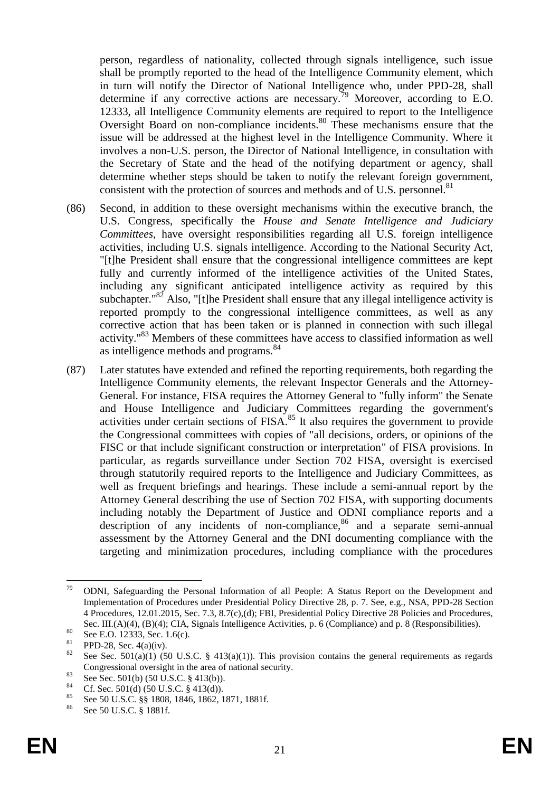person, regardless of nationality, collected through signals intelligence, such issue shall be promptly reported to the head of the Intelligence Community element, which in turn will notify the Director of National Intelligence who, under PPD-28, shall determine if any corrective actions are necessary.<sup>79</sup> Moreover, according to E.O. 12333, all Intelligence Community elements are required to report to the Intelligence Oversight Board on non-compliance incidents.<sup>80</sup> These mechanisms ensure that the issue will be addressed at the highest level in the Intelligence Community. Where it involves a non-U.S. person, the Director of National Intelligence, in consultation with the Secretary of State and the head of the notifying department or agency, shall determine whether steps should be taken to notify the relevant foreign government, consistent with the protection of sources and methods and of U.S. personnel.<sup>81</sup>

- (86) Second, in addition to these oversight mechanisms within the executive branch, the U.S. Congress, specifically the *House and Senate Intelligence and Judiciary Committees*, have oversight responsibilities regarding all U.S. foreign intelligence activities, including U.S. signals intelligence. According to the National Security Act, "[t]he President shall ensure that the congressional intelligence committees are kept fully and currently informed of the intelligence activities of the United States, including any significant anticipated intelligence activity as required by this subchapter."<sup>82</sup> Also, "[t]he President shall ensure that any illegal intelligence activity is reported promptly to the congressional intelligence committees, as well as any corrective action that has been taken or is planned in connection with such illegal activity."<sup>83</sup> Members of these committees have access to classified information as well as intelligence methods and programs.<sup>84</sup>
- (87) Later statutes have extended and refined the reporting requirements, both regarding the Intelligence Community elements, the relevant Inspector Generals and the Attorney-General. For instance, FISA requires the Attorney General to "fully inform" the Senate and House Intelligence and Judiciary Committees regarding the government's activities under certain sections of FISA.<sup>85</sup> It also requires the government to provide the Congressional committees with copies of "all decisions, orders, or opinions of the FISC or that include significant construction or interpretation" of FISA provisions. In particular, as regards surveillance under Section 702 FISA, oversight is exercised through statutorily required reports to the Intelligence and Judiciary Committees, as well as frequent briefings and hearings. These include a semi-annual report by the Attorney General describing the use of Section 702 FISA, with supporting documents including notably the Department of Justice and ODNI compliance reports and a  $\frac{1}{2}$  description of any incidents of non-compliance,  $86$  and a separate semi-annual assessment by the Attorney General and the DNI documenting compliance with the targeting and minimization procedures, including compliance with the procedures

<sup>79</sup> <sup>79</sup> ODNI, Safeguarding the Personal Information of all People: A Status Report on the Development and Implementation of Procedures under Presidential Policy Directive 28, p. 7. See, e.g., NSA, PPD-28 Section 4 Procedures, 12.01.2015, Sec. 7.3, 8.7(c),(d); FBI, Presidential Policy Directive 28 Policies and Procedures, Sec. III.(A)(4), (B)(4); CIA, Signals Intelligence Activities, p. 6 (Compliance) and p. 8 (Responsibilities).

<sup>80</sup> See E.O. 12333, Sec. 1.6(c).

<sup>&</sup>lt;sup>81</sup> PPD-28, Sec. 4(a)(iv).

See Sec.  $501(a)(1)$  (50 U.S.C. § 413(a)(1)). This provision contains the general requirements as regards Congressional oversight in the area of national security.

<sup>&</sup>lt;sup>83</sup> See Sec. 501(b) (50 U.S.C. § 413(b)).<br><sup>84</sup> G<sub>5</sub> See 501(d) (50 U.S.C. § 413(d)).

<sup>&</sup>lt;sup>84</sup> Cf. Sec. 501(d) (50 U.S.C. § 413(d)).

<sup>&</sup>lt;sup>85</sup> See 50 U.S.C. §§ 1808, 1846, 1862, 1871, 1881f.

See 50 U.S.C. § 1881f.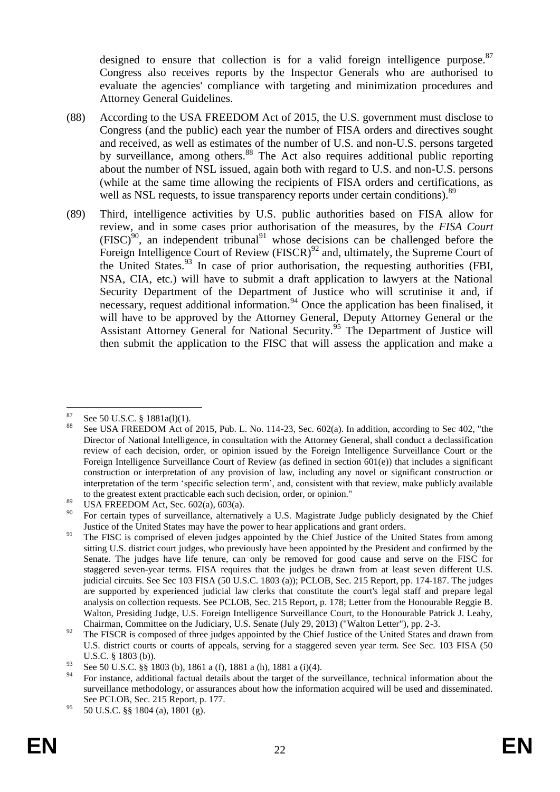designed to ensure that collection is for a valid foreign intelligence purpose.  $87$ Congress also receives reports by the Inspector Generals who are authorised to evaluate the agencies' compliance with targeting and minimization procedures and Attorney General Guidelines.

- (88) According to the USA FREEDOM Act of 2015, the U.S. government must disclose to Congress (and the public) each year the number of FISA orders and directives sought and received, as well as estimates of the number of U.S. and non-U.S. persons targeted by surveillance, among others.<sup>88</sup> The Act also requires additional public reporting about the number of NSL issued, again both with regard to U.S. and non-U.S. persons (while at the same time allowing the recipients of FISA orders and certifications, as well as NSL requests, to issue transparency reports under certain conditions).<sup>89</sup>
- (89) Third, intelligence activities by U.S. public authorities based on FISA allow for review, and in some cases prior authorisation of the measures, by the *FISA Court*  $(FISC)^{90}$ , an independent tribunal<sup>91</sup> whose decisions can be challenged before the Foreign Intelligence Court of Review (FISCR)<sup>92</sup> and, ultimately, the Supreme Court of the United States.  $93$  In case of prior authorisation, the requesting authorities (FBI, NSA, CIA, etc.) will have to submit a draft application to lawyers at the National Security Department of the Department of Justice who will scrutinise it and, if  $\frac{1}{2}$  necessary, request additional information.<sup>94</sup> Once the application has been finalised, it will have to be approved by the Attorney General, Deputy Attorney General or the Assistant Attorney General for National Security.<sup>95</sup> The Department of Justice will then submit the application to the FISC that will assess the application and make a

 $87$ <sup>87</sup> See 50 U.S.C. § 1881a(l)(1).

See USA FREEDOM Act of 2015, Pub. L. No. 114-23, Sec. 602(a). In addition, according to Sec 402, "the Director of National Intelligence, in consultation with the Attorney General, shall conduct a declassification review of each decision, order, or opinion issued by the Foreign Intelligence Surveillance Court or the Foreign Intelligence Surveillance Court of Review (as defined in section 601(e)) that includes a significant construction or interpretation of any provision of law, including any novel or significant construction or interpretation of the term 'specific selection term', and, consistent with that review, make publicly available to the greatest extent practicable each such decision, order, or opinion."

 $^{89}$  USA FREEDOM Act, Sec. 602(a), 603(a).

<sup>90</sup> For certain types of surveillance, alternatively a U.S. Magistrate Judge publicly designated by the Chief Justice of the United States may have the power to hear applications and grant orders.

<sup>&</sup>lt;sup>91</sup> The FISC is comprised of eleven judges appointed by the Chief Justice of the United States from among sitting U.S. district court judges, who previously have been appointed by the President and confirmed by the Senate. The judges have life tenure, can only be removed for good cause and serve on the FISC for staggered seven-year terms. FISA requires that the judges be drawn from at least seven different U.S. judicial circuits. See Sec 103 FISA (50 U.S.C. 1803 (a)); PCLOB, Sec. 215 Report, pp. 174-187. The judges are supported by experienced judicial law clerks that constitute the court's legal staff and prepare legal analysis on collection requests. See PCLOB, Sec. 215 Report, p. 178; Letter from the Honourable Reggie B. Walton, Presiding Judge, U.S. Foreign Intelligence Surveillance Court, to the Honourable Patrick J. Leahy, Chairman, Committee on the Judiciary, U.S. Senate (July 29, 2013) ("Walton Letter"), pp. 2-3.

<sup>&</sup>lt;sup>92</sup> The FISCR is composed of three judges appointed by the Chief Justice of the United States and drawn from U.S. district courts or courts of appeals, serving for a staggered seven year term. See Sec. 103 FISA (50 U.S.C. § 1803 (b)).

<sup>93</sup> See 50 U.S.C.  $\frac{85}{9}$  1803 (b), 1861 a (f), 1881 a (h), 1881 a (i)(4).

<sup>94</sup> For instance, additional factual details about the target of the surveillance, technical information about the surveillance methodology, or assurances about how the information acquired will be used and disseminated. See PCLOB, Sec. 215 Report, p. 177.

<sup>95 50</sup> U.S.C. §§ 1804 (a), 1801 (g).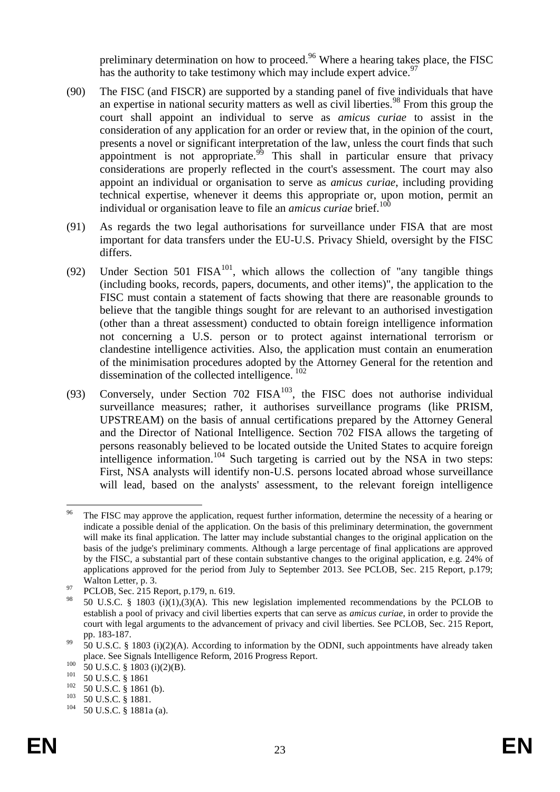preliminary determination on how to proceed.<sup>96</sup> Where a hearing takes place, the FISC has the authority to take testimony which may include expert advice.<sup>97</sup>

- (90) The FISC (and FISCR) are supported by a standing panel of five individuals that have an expertise in national security matters as well as civil liberties.<sup>98</sup> From this group the court shall appoint an individual to serve as *amicus curiae* to assist in the consideration of any application for an order or review that, in the opinion of the court, presents a novel or significant interpretation of the law, unless the court finds that such appointment is not appropriate.<sup>99</sup> This shall in particular ensure that privacy considerations are properly reflected in the court's assessment. The court may also appoint an individual or organisation to serve as *amicus curiae*, including providing technical expertise, whenever it deems this appropriate or, upon motion, permit an individual or organisation leave to file an *amicus curiae* brief.<sup>100</sup>
- (91) As regards the two legal authorisations for surveillance under FISA that are most important for data transfers under the EU-U.S. Privacy Shield, oversight by the FISC differs.
- (92) Under Section 501 FISA<sup>101</sup>, which allows the collection of "any tangible things (including books, records, papers, documents, and other items)", the application to the FISC must contain a statement of facts showing that there are reasonable grounds to believe that the tangible things sought for are relevant to an authorised investigation (other than a threat assessment) conducted to obtain foreign intelligence information not concerning a U.S. person or to protect against international terrorism or clandestine intelligence activities. Also, the application must contain an enumeration of the minimisation procedures adopted by the Attorney General for the retention and dissemination of the collected intelligence.<sup>102</sup>
- (93) Conversely, under Section 702  $FISA^{103}$ , the FISC does not authorise individual surveillance measures; rather, it authorises surveillance programs (like PRISM, UPSTREAM) on the basis of annual certifications prepared by the Attorney General and the Director of National Intelligence. Section 702 FISA allows the targeting of persons reasonably believed to be located outside the United States to acquire foreign intelligence information.<sup>104</sup> Such targeting is carried out by the NSA in two steps: First, NSA analysts will identify non-U.S. persons located abroad whose surveillance will lead, based on the analysts' assessment, to the relevant foreign intelligence

<sup>96</sup> The FISC may approve the application, request further information, determine the necessity of a hearing or indicate a possible denial of the application. On the basis of this preliminary determination, the government will make its final application. The latter may include substantial changes to the original application on the basis of the judge's preliminary comments. Although a large percentage of final applications are approved by the FISC, a substantial part of these contain substantive changes to the original application, e.g. 24% of applications approved for the period from July to September 2013. See PCLOB, Sec. 215 Report, p.179; Walton Letter, p. 3.

<sup>&</sup>lt;sup>97</sup> PCLOB, Sec. 215 Report, p.179, n. 619.

<sup>98</sup> 50 U.S.C. § 1803 (i)(1),(3)(A). This new legislation implemented recommendations by the PCLOB to establish a pool of privacy and civil liberties experts that can serve as *amicus curiae*, in order to provide the court with legal arguments to the advancement of privacy and civil liberties. See PCLOB, Sec. 215 Report, pp. 183-187.

 $^{99}$  50 U.S.C. § 1803 (i)(2)(A). According to information by the ODNI, such appointments have already taken place. See Signals Intelligence Reform, 2016 Progress Report.

 $^{100}$  50 U.S.C. § 1803 (i)(2)(B).

 $\frac{101}{102}$  50 U.S.C. § 1861

 $^{102}$  50 U.S.C. § 1861 (b).

 $^{103}$  50 U.S.C. § 1881.

<sup>50</sup> U.S.C. § 1881a (a).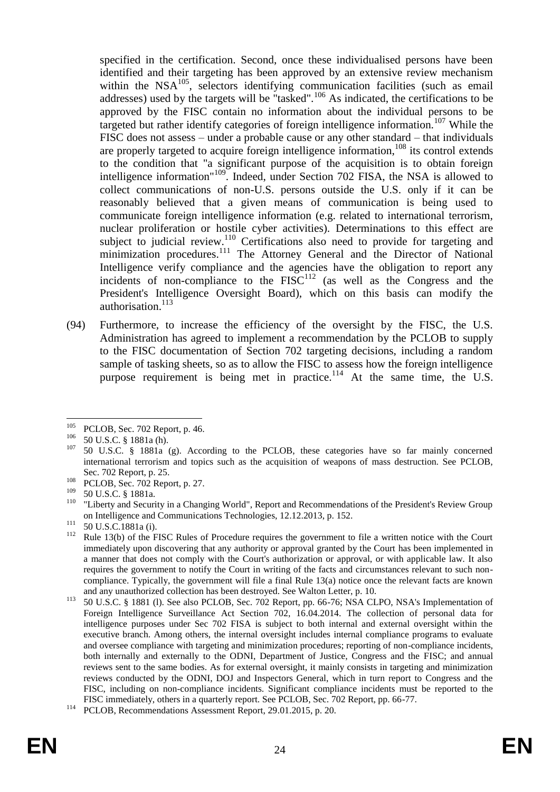specified in the certification. Second, once these individualised persons have been identified and their targeting has been approved by an extensive review mechanism within the  $NSA<sup>105</sup>$ , selectors identifying communication facilities (such as email addresses) used by the targets will be "tasked".<sup>106</sup> As indicated, the certifications to be approved by the FISC contain no information about the individual persons to be targeted but rather identify categories of foreign intelligence information.<sup>107</sup> While the FISC does not assess – under a probable cause or any other standard – that individuals are properly targeted to acquire foreign intelligence information, $108$  its control extends to the condition that "a significant purpose of the acquisition is to obtain foreign intelligence information<sup>"109</sup>. Indeed, under Section 702 FISA, the NSA is allowed to collect communications of non-U.S. persons outside the U.S. only if it can be reasonably believed that a given means of communication is being used to communicate foreign intelligence information (e.g. related to international terrorism, nuclear proliferation or hostile cyber activities). Determinations to this effect are subject to judicial review.<sup>110</sup> Certifications also need to provide for targeting and minimization procedures.<sup>111</sup> The Attorney General and the Director of National Intelligence verify compliance and the agencies have the obligation to report any incidents of non-compliance to the  $FISC<sup>112</sup>$  (as well as the Congress and the President's Intelligence Oversight Board), which on this basis can modify the authorisation.<sup>113</sup>

(94) Furthermore, to increase the efficiency of the oversight by the FISC, the U.S. Administration has agreed to implement a recommendation by the PCLOB to supply to the FISC documentation of Section 702 targeting decisions, including a random sample of tasking sheets, so as to allow the FISC to assess how the foreign intelligence purpose requirement is being met in practice.<sup>114</sup> At the same time, the U.S.

<sup>105</sup> <sup>105</sup> PCLOB, Sec. 702 Report, p. 46.

 $^{106}$  50 U.S.C. § 1881a (h).

<sup>107</sup> 50 U.S.C. § 1881a (g). According to the PCLOB, these categories have so far mainly concerned international terrorism and topics such as the acquisition of weapons of mass destruction. See PCLOB, Sec. 702 Report, p. 25.

 $^{108}$  PCLOB, Sec. 702 Report, p. 27.

 $^{109}$  50 U.S.C. § 1881a.

<sup>&</sup>quot;Liberty and Security in a Changing World", Report and Recommendations of the President's Review Group on Intelligence and Communications Technologies, 12.12.2013, p. 152.

 $^{111}$  50 U.S.C.1881a (i).

Rule 13(b) of the FISC Rules of Procedure requires the government to file a written notice with the Court immediately upon discovering that any authority or approval granted by the Court has been implemented in a manner that does not comply with the Court's authorization or approval, or with applicable law. It also requires the government to notify the Court in writing of the facts and circumstances relevant to such noncompliance. Typically, the government will file a final Rule 13(a) notice once the relevant facts are known and any unauthorized collection has been destroyed. See Walton Letter, p. 10.

<sup>113</sup> 50 U.S.C. § 1881 (l). See also PCLOB, Sec. 702 Report, pp. 66-76; NSA CLPO, NSA's Implementation of Foreign Intelligence Surveillance Act Section 702, 16.04.2014. The collection of personal data for intelligence purposes under Sec 702 FISA is subject to both internal and external oversight within the executive branch. Among others, the internal oversight includes internal compliance programs to evaluate and oversee compliance with targeting and minimization procedures; reporting of non-compliance incidents, both internally and externally to the ODNI, Department of Justice, Congress and the FISC; and annual reviews sent to the same bodies. As for external oversight, it mainly consists in targeting and minimization reviews conducted by the ODNI, DOJ and Inspectors General, which in turn report to Congress and the FISC, including on non-compliance incidents. Significant compliance incidents must be reported to the FISC immediately, others in a quarterly report. See PCLOB, Sec. 702 Report, pp. 66-77.

<sup>&</sup>lt;sup>114</sup> PCLOB, Recommendations Assessment Report, 29.01.2015, p. 20.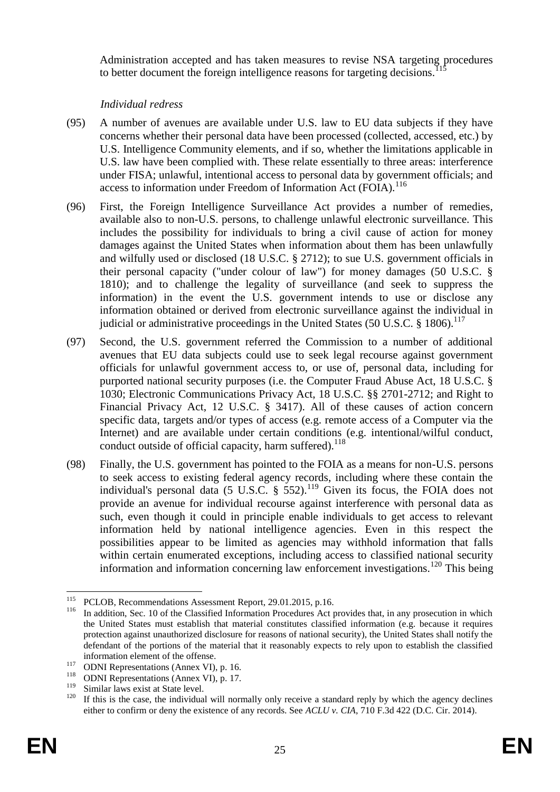Administration accepted and has taken measures to revise NSA targeting procedures to better document the foreign intelligence reasons for targeting decisions.<sup>1</sup>

## *Individual redress*

- (95) A number of avenues are available under U.S. law to EU data subjects if they have concerns whether their personal data have been processed (collected, accessed, etc.) by U.S. Intelligence Community elements, and if so, whether the limitations applicable in U.S. law have been complied with. These relate essentially to three areas: interference under FISA; unlawful, intentional access to personal data by government officials; and access to information under Freedom of Information Act (FOIA).<sup>116</sup>
- (96) First, the Foreign Intelligence Surveillance Act provides a number of remedies, available also to non-U.S. persons, to challenge unlawful electronic surveillance. This includes the possibility for individuals to bring a civil cause of action for money damages against the United States when information about them has been unlawfully and wilfully used or disclosed (18 U.S.C. § 2712); to sue U.S. government officials in their personal capacity ("under colour of law") for money damages (50 U.S.C. § 1810); and to challenge the legality of surveillance (and seek to suppress the information) in the event the U.S. government intends to use or disclose any information obtained or derived from electronic surveillance against the individual in judicial or administrative proceedings in the United States (50 U.S.C.  $\S$  1806).<sup>117</sup>
- (97) Second, the U.S. government referred the Commission to a number of additional avenues that EU data subjects could use to seek legal recourse against government officials for unlawful government access to, or use of, personal data, including for purported national security purposes (i.e. the Computer Fraud Abuse Act, 18 U.S.C. § 1030; Electronic Communications Privacy Act, 18 U.S.C. §§ 2701-2712; and Right to Financial Privacy Act, 12 U.S.C. § 3417). All of these causes of action concern specific data, targets and/or types of access (e.g. remote access of a Computer via the Internet) and are available under certain conditions (e.g. intentional/wilful conduct, conduct outside of official capacity, harm suffered).<sup>118</sup>
- (98) Finally, the U.S. government has pointed to the FOIA as a means for non-U.S. persons to seek access to existing federal agency records, including where these contain the individual's personal data  $(5 \text{ U.S. C. }$  §  $552)$ .<sup>119</sup> Given its focus, the FOIA does not provide an avenue for individual recourse against interference with personal data as such, even though it could in principle enable individuals to get access to relevant information held by national intelligence agencies. Even in this respect the possibilities appear to be limited as agencies may withhold information that falls within certain enumerated exceptions, including access to classified national security information and information concerning law enforcement investigations.<sup>120</sup> This being

1

<sup>&</sup>lt;sup>115</sup> PCLOB, Recommendations Assessment Report, 29.01.2015, p.16.<br><sup>116</sup> In addition, Sec. 10 of the Classified Information Procedures, Act r

In addition, Sec. 10 of the Classified Information Procedures Act provides that, in any prosecution in which the United States must establish that material constitutes classified information (e.g. because it requires protection against unauthorized disclosure for reasons of national security), the United States shall notify the defendant of the portions of the material that it reasonably expects to rely upon to establish the classified information element of the offense.

<sup>117</sup> **ODNI Representations (Annex VI), p. 16.**<br>118 **ODNI Representations (Annex VI), p. 17** 

<sup>&</sup>lt;sup>118</sup> ODNI Representations (Annex VI), p. 17.<br><sup>119</sup> Similar laws quiet et State layel

 $\frac{119}{120}$  Similar laws exist at State level.

If this is the case, the individual will normally only receive a standard reply by which the agency declines either to confirm or deny the existence of any records. See *ACLU v. CIA*, 710 F.3d 422 (D.C. Cir. 2014).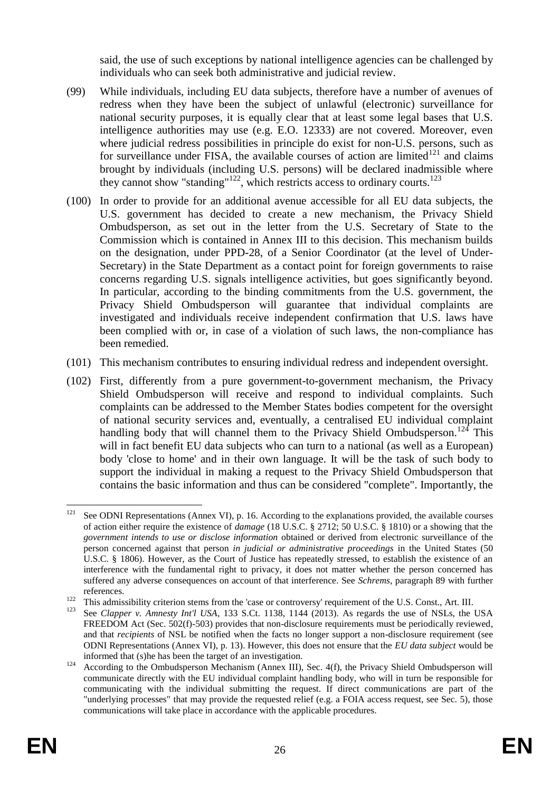said, the use of such exceptions by national intelligence agencies can be challenged by individuals who can seek both administrative and judicial review.

- (99) While individuals, including EU data subjects, therefore have a number of avenues of redress when they have been the subject of unlawful (electronic) surveillance for national security purposes, it is equally clear that at least some legal bases that U.S. intelligence authorities may use (e.g. E.O. 12333) are not covered. Moreover, even where judicial redress possibilities in principle do exist for non-U.S. persons, such as for surveillance under FISA, the available courses of action are limited $121$  and claims brought by individuals (including U.S. persons) will be declared inadmissible where they cannot show "standing"<sup>122</sup>, which restricts access to ordinary courts.<sup>123</sup>
- (100) In order to provide for an additional avenue accessible for all EU data subjects, the U.S. government has decided to create a new mechanism, the Privacy Shield Ombudsperson, as set out in the letter from the U.S. Secretary of State to the Commission which is contained in Annex III to this decision. This mechanism builds on the designation, under PPD-28, of a Senior Coordinator (at the level of Under-Secretary) in the State Department as a contact point for foreign governments to raise concerns regarding U.S. signals intelligence activities, but goes significantly beyond. In particular, according to the binding commitments from the U.S. government, the Privacy Shield Ombudsperson will guarantee that individual complaints are investigated and individuals receive independent confirmation that U.S. laws have been complied with or, in case of a violation of such laws, the non-compliance has been remedied.
- (101) This mechanism contributes to ensuring individual redress and independent oversight.
- (102) First, differently from a pure government-to-government mechanism, the Privacy Shield Ombudsperson will receive and respond to individual complaints. Such complaints can be addressed to the Member States bodies competent for the oversight of national security services and, eventually, a centralised EU individual complaint handling body that will channel them to the Privacy Shield Ombudsperson.<sup>124</sup> This will in fact benefit EU data subjects who can turn to a national (as well as a European) body 'close to home' and in their own language. It will be the task of such body to support the individual in making a request to the Privacy Shield Ombudsperson that contains the basic information and thus can be considered "complete". Importantly, the

 $121$ See ODNI Representations (Annex VI), p. 16. According to the explanations provided, the available courses of action either require the existence of *damage* (18 U.S.C. § 2712; 50 U.S.C. § 1810) or a showing that the *government intends to use or disclose information* obtained or derived from electronic surveillance of the person concerned against that person *in judicial or administrative proceedings* in the United States (50 U.S.C. § 1806). However, as the Court of Justice has repeatedly stressed, to establish the existence of an interference with the fundamental right to privacy, it does not matter whether the person concerned has suffered any adverse consequences on account of that interference. See *Schrems*, paragraph 89 with further references.

<sup>122</sup> This admissibility criterion stems from the 'case or controversy' requirement of the U.S. Const., Art. III.<br>123 See Clanner u. Amnasty Int'l USA 133 S Ct. 1138 1144 (2013). As regards the use of NSI s, the 1

See *Clapper v. Amnesty Int'l USA*, 133 S.Ct. 1138, 1144 (2013). As regards the use of NSLs, the USA FREEDOM Act (Sec. 502(f)-503) provides that non-disclosure requirements must be periodically reviewed, and that *recipients* of NSL be notified when the facts no longer support a non-disclosure requirement (see ODNI Representations (Annex VI), p. 13). However, this does not ensure that the *EU data subject* would be informed that (s)he has been the target of an investigation.

<sup>&</sup>lt;sup>124</sup> According to the Ombudsperson Mechanism (Annex III), Sec. 4(f), the Privacy Shield Ombudsperson will communicate directly with the EU individual complaint handling body, who will in turn be responsible for communicating with the individual submitting the request. If direct communications are part of the "underlying processes" that may provide the requested relief (e.g. a FOIA access request, see Sec. 5), those communications will take place in accordance with the applicable procedures.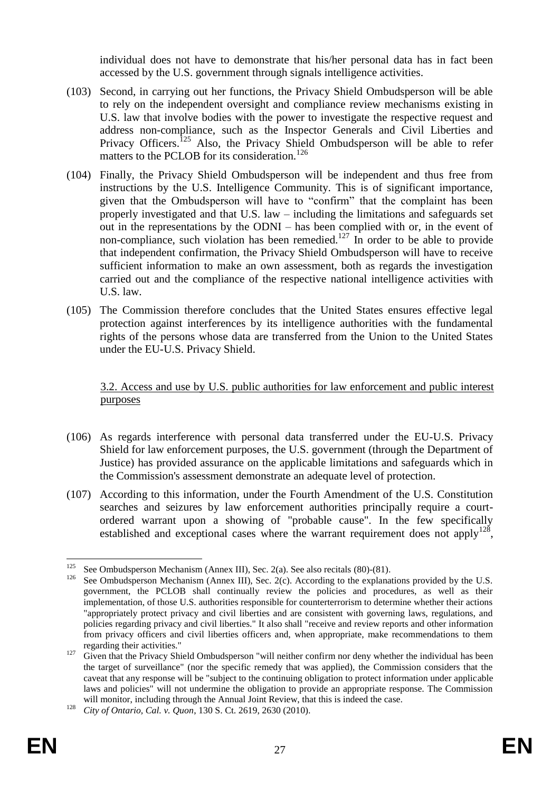individual does not have to demonstrate that his/her personal data has in fact been accessed by the U.S. government through signals intelligence activities.

- (103) Second, in carrying out her functions, the Privacy Shield Ombudsperson will be able to rely on the independent oversight and compliance review mechanisms existing in U.S. law that involve bodies with the power to investigate the respective request and address non-compliance, such as the Inspector Generals and Civil Liberties and Privacy Officers.<sup>125</sup> Also, the Privacy Shield Ombudsperson will be able to refer matters to the PCLOB for its consideration.<sup>126</sup>
- (104) Finally, the Privacy Shield Ombudsperson will be independent and thus free from instructions by the U.S. Intelligence Community. This is of significant importance, given that the Ombudsperson will have to "confirm" that the complaint has been properly investigated and that U.S. law – including the limitations and safeguards set out in the representations by the ODNI – has been complied with or, in the event of non-compliance, such violation has been remedied.<sup>127</sup> In order to be able to provide that independent confirmation, the Privacy Shield Ombudsperson will have to receive sufficient information to make an own assessment, both as regards the investigation carried out and the compliance of the respective national intelligence activities with U.S. law.
- (105) The Commission therefore concludes that the United States ensures effective legal protection against interferences by its intelligence authorities with the fundamental rights of the persons whose data are transferred from the Union to the United States under the EU-U.S. Privacy Shield.

3.2. Access and use by U.S. public authorities for law enforcement and public interest purposes

- (106) As regards interference with personal data transferred under the EU-U.S. Privacy Shield for law enforcement purposes, the U.S. government (through the Department of Justice) has provided assurance on the applicable limitations and safeguards which in the Commission's assessment demonstrate an adequate level of protection.
- (107) According to this information, under the Fourth Amendment of the U.S. Constitution searches and seizures by law enforcement authorities principally require a courtordered warrant upon a showing of "probable cause". In the few specifically established and exceptional cases where the warrant requirement does not apply<sup>128</sup>,

<sup>125</sup> <sup>125</sup> See Ombudsperson Mechanism (Annex III), Sec. 2(a). See also recitals [\(80\)](#page-18-0)[-\(81\).](#page-18-1)<br><sup>126</sup> See Ombudsperson Mechanism (Annex III), Sec. 2(c). According to the explanat

See Ombudsperson Mechanism (Annex III), Sec. 2(c). According to the explanations provided by the U.S. government, the PCLOB shall continually review the policies and procedures, as well as their implementation, of those U.S. authorities responsible for counterterrorism to determine whether their actions "appropriately protect privacy and civil liberties and are consistent with governing laws, regulations, and policies regarding privacy and civil liberties." It also shall "receive and review reports and other information from privacy officers and civil liberties officers and, when appropriate, make recommendations to them regarding their activities."

<sup>&</sup>lt;sup>127</sup> Given that the Privacy Shield Ombudsperson "will neither confirm nor deny whether the individual has been the target of surveillance" (nor the specific remedy that was applied), the Commission considers that the caveat that any response will be "subject to the continuing obligation to protect information under applicable laws and policies" will not undermine the obligation to provide an appropriate response. The Commission will monitor, including through the Annual Joint Review, that this is indeed the case.

<sup>128</sup> *City of Ontario, Cal. v. Quon*, 130 S. Ct. 2619, 2630 (2010).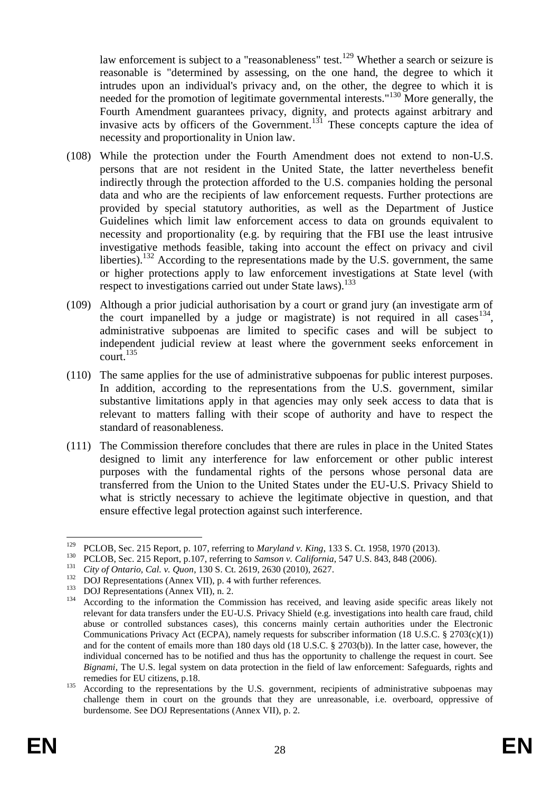law enforcement is subject to a "reasonableness" test.<sup>129</sup> Whether a search or seizure is reasonable is "determined by assessing, on the one hand, the degree to which it intrudes upon an individual's privacy and, on the other, the degree to which it is needed for the promotion of legitimate governmental interests."<sup>130</sup> More generally, the Fourth Amendment guarantees privacy, dignity, and protects against arbitrary and invasive acts by officers of the Government.<sup>131</sup> These concepts capture the idea of necessity and proportionality in Union law.

- (108) While the protection under the Fourth Amendment does not extend to non-U.S. persons that are not resident in the United State, the latter nevertheless benefit indirectly through the protection afforded to the U.S. companies holding the personal data and who are the recipients of law enforcement requests. Further protections are provided by special statutory authorities, as well as the Department of Justice Guidelines which limit law enforcement access to data on grounds equivalent to necessity and proportionality (e.g. by requiring that the FBI use the least intrusive investigative methods feasible, taking into account the effect on privacy and civil liberties).<sup>132</sup> According to the representations made by the U.S. government, the same or higher protections apply to law enforcement investigations at State level (with respect to investigations carried out under State laws).<sup>133</sup>
- (109) Although a prior judicial authorisation by a court or grand jury (an investigate arm of the court impanelled by a judge or magistrate) is not required in all cases  $134$ , administrative subpoenas are limited to specific cases and will be subject to independent judicial review at least where the government seeks enforcement in  $\frac{135}{2}$
- (110) The same applies for the use of administrative subpoenas for public interest purposes. In addition, according to the representations from the U.S. government, similar substantive limitations apply in that agencies may only seek access to data that is relevant to matters falling with their scope of authority and have to respect the standard of reasonableness.
- (111) The Commission therefore concludes that there are rules in place in the United States designed to limit any interference for law enforcement or other public interest purposes with the fundamental rights of the persons whose personal data are transferred from the Union to the United States under the EU-U.S. Privacy Shield to what is strictly necessary to achieve the legitimate objective in question, and that ensure effective legal protection against such interference.

1

<sup>129</sup> PCLOB, Sec. 215 Report, p. 107, referring to *Maryland v. King*, 133 S. Ct. 1958, 1970 (2013).

<sup>&</sup>lt;sup>130</sup> PCLOB, Sec. 215 Report, p.107, referring to *Samson v. California*, 547 U.S. 843, 848 (2006).

<sup>&</sup>lt;sup>131</sup> *City of Ontario, Cal. v. Quon,* 130 S. Ct. 2619, 2630 (2010), 2627.<br><sup>132</sup> DOJ Performations (Annoy VII), p. 4 with further references.

<sup>&</sup>lt;sup>132</sup> DOJ Representations (Annex VII), p. 4 with further references.<br><sup>133</sup> DOJ Representations (Annex VII), p. 2.

 $^{133}$  DOJ Representations (Annex VII), n. 2.

<sup>134</sup> According to the information the Commission has received, and leaving aside specific areas likely not relevant for data transfers under the EU-U.S. Privacy Shield (e.g. investigations into health care fraud, child abuse or controlled substances cases), this concerns mainly certain authorities under the Electronic Communications Privacy Act (ECPA), namely requests for subscriber information (18 U.S.C. § 2703(c)(1)) and for the content of emails more than 180 days old (18 U.S.C. § 2703(b)). In the latter case, however, the individual concerned has to be notified and thus has the opportunity to challenge the request in court. See *Bignami*, The U.S. legal system on data protection in the field of law enforcement: Safeguards, rights and remedies for EU citizens, p.18.

<sup>&</sup>lt;sup>135</sup> According to the representations by the U.S. government, recipients of administrative subpoenas may challenge them in court on the grounds that they are unreasonable, i.e. overboard, oppressive of burdensome. See DOJ Representations (Annex VII), p. 2.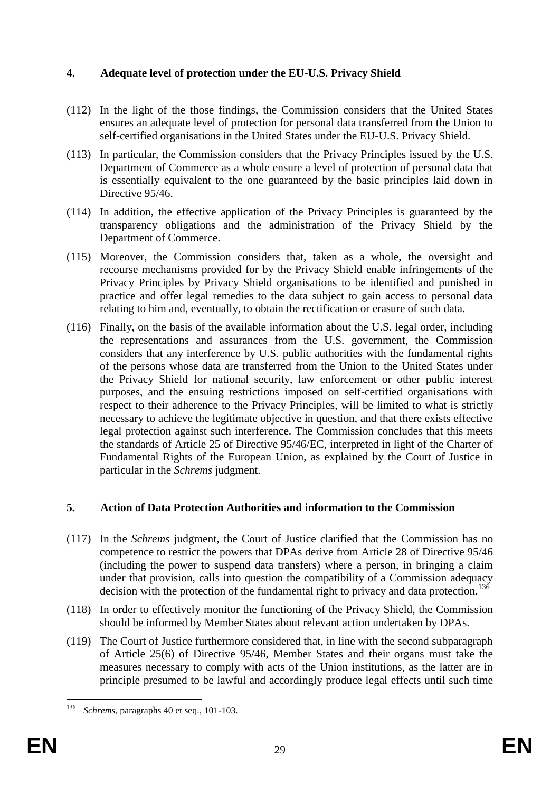# **4. Adequate level of protection under the EU-U.S. Privacy Shield**

- <span id="page-28-0"></span>(112) In the light of the those findings, the Commission considers that the United States ensures an adequate level of protection for personal data transferred from the Union to self-certified organisations in the United States under the EU-U.S. Privacy Shield.
- (113) In particular, the Commission considers that the Privacy Principles issued by the U.S. Department of Commerce as a whole ensure a level of protection of personal data that is essentially equivalent to the one guaranteed by the basic principles laid down in Directive 95/46.
- (114) In addition, the effective application of the Privacy Principles is guaranteed by the transparency obligations and the administration of the Privacy Shield by the Department of Commerce.
- (115) Moreover, the Commission considers that, taken as a whole, the oversight and recourse mechanisms provided for by the Privacy Shield enable infringements of the Privacy Principles by Privacy Shield organisations to be identified and punished in practice and offer legal remedies to the data subject to gain access to personal data relating to him and, eventually, to obtain the rectification or erasure of such data.
- <span id="page-28-1"></span>(116) Finally, on the basis of the available information about the U.S. legal order, including the representations and assurances from the U.S. government, the Commission considers that any interference by U.S. public authorities with the fundamental rights of the persons whose data are transferred from the Union to the United States under the Privacy Shield for national security, law enforcement or other public interest purposes, and the ensuing restrictions imposed on self-certified organisations with respect to their adherence to the Privacy Principles, will be limited to what is strictly necessary to achieve the legitimate objective in question, and that there exists effective legal protection against such interference. The Commission concludes that this meets the standards of Article 25 of Directive 95/46/EC, interpreted in light of the Charter of Fundamental Rights of the European Union, as explained by the Court of Justice in particular in the *Schrems* judgment.

# **5. Action of Data Protection Authorities and information to the Commission**

- (117) In the *Schrems* judgment, the Court of Justice clarified that the Commission has no competence to restrict the powers that DPAs derive from Article 28 of Directive 95/46 (including the power to suspend data transfers) where a person, in bringing a claim under that provision, calls into question the compatibility of a Commission adequacy decision with the protection of the fundamental right to privacy and data protection.<sup>136</sup>
- (118) In order to effectively monitor the functioning of the Privacy Shield, the Commission should be informed by Member States about relevant action undertaken by DPAs.
- (119) The Court of Justice furthermore considered that, in line with the second subparagraph of Article 25(6) of Directive 95/46, Member States and their organs must take the measures necessary to comply with acts of the Union institutions, as the latter are in principle presumed to be lawful and accordingly produce legal effects until such time

<sup>136</sup> Schrems, paragraphs 40 et seq., 101-103.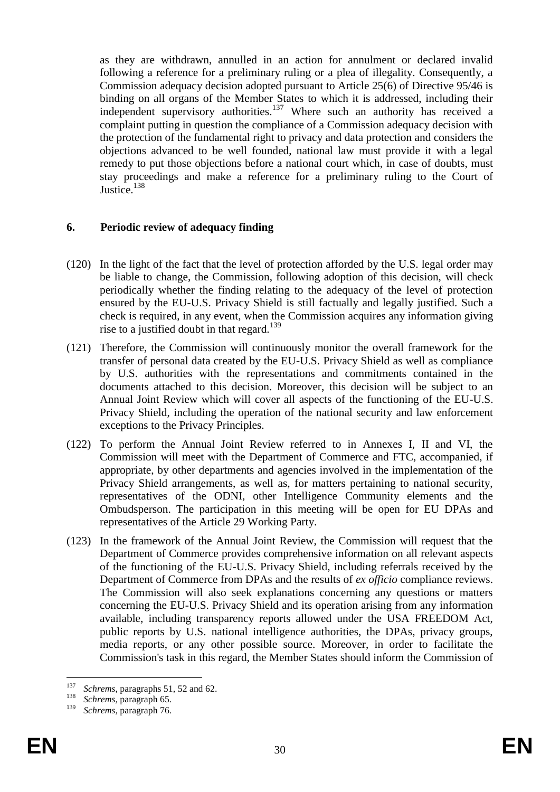as they are withdrawn, annulled in an action for annulment or declared invalid following a reference for a preliminary ruling or a plea of illegality. Consequently, a Commission adequacy decision adopted pursuant to Article 25(6) of Directive 95/46 is binding on all organs of the Member States to which it is addressed, including their independent supervisory authorities.<sup>137</sup> Where such an authority has received a complaint putting in question the compliance of a Commission adequacy decision with the protection of the fundamental right to privacy and data protection and considers the objections advanced to be well founded, national law must provide it with a legal remedy to put those objections before a national court which, in case of doubts, must stay proceedings and make a reference for a preliminary ruling to the Court of Justice.<sup>138</sup>

# **6. Periodic review of adequacy finding**

- (120) In the light of the fact that the level of protection afforded by the U.S. legal order may be liable to change, the Commission, following adoption of this decision, will check periodically whether the finding relating to the adequacy of the level of protection ensured by the EU-U.S. Privacy Shield is still factually and legally justified. Such a check is required, in any event, when the Commission acquires any information giving rise to a justified doubt in that regard.<sup>139</sup>
- (121) Therefore, the Commission will continuously monitor the overall framework for the transfer of personal data created by the EU-U.S. Privacy Shield as well as compliance by U.S. authorities with the representations and commitments contained in the documents attached to this decision. Moreover, this decision will be subject to an Annual Joint Review which will cover all aspects of the functioning of the EU-U.S. Privacy Shield, including the operation of the national security and law enforcement exceptions to the Privacy Principles.
- (122) To perform the Annual Joint Review referred to in Annexes I, II and VI, the Commission will meet with the Department of Commerce and FTC, accompanied, if appropriate, by other departments and agencies involved in the implementation of the Privacy Shield arrangements, as well as, for matters pertaining to national security, representatives of the ODNI, other Intelligence Community elements and the Ombudsperson. The participation in this meeting will be open for EU DPAs and representatives of the Article 29 Working Party.
- (123) In the framework of the Annual Joint Review, the Commission will request that the Department of Commerce provides comprehensive information on all relevant aspects of the functioning of the EU-U.S. Privacy Shield, including referrals received by the Department of Commerce from DPAs and the results of *ex officio* compliance reviews. The Commission will also seek explanations concerning any questions or matters concerning the EU-U.S. Privacy Shield and its operation arising from any information available, including transparency reports allowed under the USA FREEDOM Act, public reports by U.S. national intelligence authorities, the DPAs, privacy groups, media reports, or any other possible source. Moreover, in order to facilitate the Commission's task in this regard, the Member States should inform the Commission of

<sup>137</sup>  $137$  *Schrems*, paragraphs 51, 52 and 62.

 $\frac{138}{139}$  *Schrems*, paragraph 65.

Schrems, paragraph 76.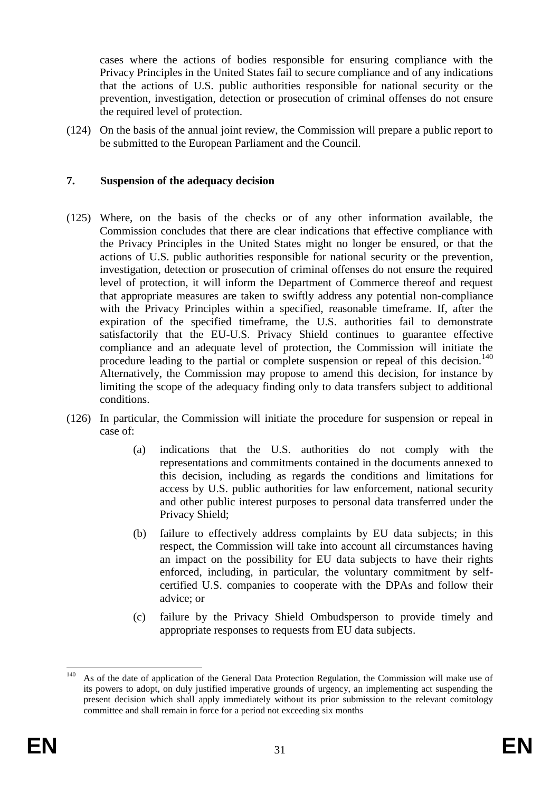cases where the actions of bodies responsible for ensuring compliance with the Privacy Principles in the United States fail to secure compliance and of any indications that the actions of U.S. public authorities responsible for national security or the prevention, investigation, detection or prosecution of criminal offenses do not ensure the required level of protection.

(124) On the basis of the annual joint review, the Commission will prepare a public report to be submitted to the European Parliament and the Council.

### **7. Suspension of the adequacy decision**

- (125) Where, on the basis of the checks or of any other information available, the Commission concludes that there are clear indications that effective compliance with the Privacy Principles in the United States might no longer be ensured, or that the actions of U.S. public authorities responsible for national security or the prevention, investigation, detection or prosecution of criminal offenses do not ensure the required level of protection, it will inform the Department of Commerce thereof and request that appropriate measures are taken to swiftly address any potential non-compliance with the Privacy Principles within a specified, reasonable timeframe. If, after the expiration of the specified timeframe, the U.S. authorities fail to demonstrate satisfactorily that the EU-U.S. Privacy Shield continues to guarantee effective compliance and an adequate level of protection, the Commission will initiate the procedure leading to the partial or complete suspension or repeal of this decision.<sup>140</sup> Alternatively, the Commission may propose to amend this decision, for instance by limiting the scope of the adequacy finding only to data transfers subject to additional conditions.
- (126) In particular, the Commission will initiate the procedure for suspension or repeal in case of:
	- (a) indications that the U.S. authorities do not comply with the representations and commitments contained in the documents annexed to this decision, including as regards the conditions and limitations for access by U.S. public authorities for law enforcement, national security and other public interest purposes to personal data transferred under the Privacy Shield;
	- (b) failure to effectively address complaints by EU data subjects; in this respect, the Commission will take into account all circumstances having an impact on the possibility for EU data subjects to have their rights enforced, including, in particular, the voluntary commitment by selfcertified U.S. companies to cooperate with the DPAs and follow their advice; or
	- (c) failure by the Privacy Shield Ombudsperson to provide timely and appropriate responses to requests from EU data subjects.

<sup>140</sup> <sup>140</sup> As of the date of application of the General Data Protection Regulation, the Commission will make use of its powers to adopt, on duly justified imperative grounds of urgency, an implementing act suspending the present decision which shall apply immediately without its prior submission to the relevant comitology committee and shall remain in force for a period not exceeding six months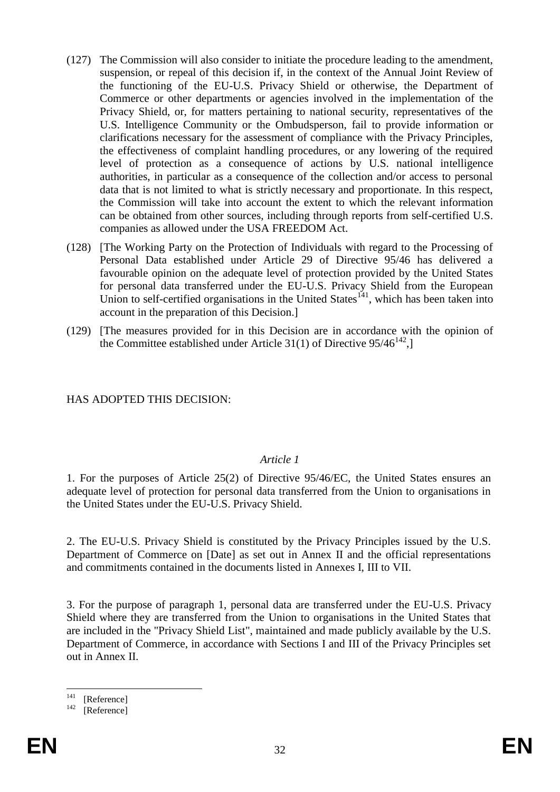- (127) The Commission will also consider to initiate the procedure leading to the amendment, suspension, or repeal of this decision if, in the context of the Annual Joint Review of the functioning of the EU-U.S. Privacy Shield or otherwise, the Department of Commerce or other departments or agencies involved in the implementation of the Privacy Shield, or, for matters pertaining to national security, representatives of the U.S. Intelligence Community or the Ombudsperson, fail to provide information or clarifications necessary for the assessment of compliance with the Privacy Principles, the effectiveness of complaint handling procedures, or any lowering of the required level of protection as a consequence of actions by U.S. national intelligence authorities, in particular as a consequence of the collection and/or access to personal data that is not limited to what is strictly necessary and proportionate. In this respect, the Commission will take into account the extent to which the relevant information can be obtained from other sources, including through reports from self-certified U.S. companies as allowed under the USA FREEDOM Act.
- (128) [The Working Party on the Protection of Individuals with regard to the Processing of Personal Data established under Article 29 of Directive 95/46 has delivered a favourable opinion on the adequate level of protection provided by the United States for personal data transferred under the EU-U.S. Privacy Shield from the European Union to self-certified organisations in the United States<sup>141</sup>, which has been taken into account in the preparation of this Decision.]
- (129) [The measures provided for in this Decision are in accordance with the opinion of the Committee established under Article 31(1) of Directive  $95/46^{142}$ ,

### HAS ADOPTED THIS DECISION:

#### *Article 1*

1. For the purposes of Article 25(2) of Directive 95/46/EC, the United States ensures an adequate level of protection for personal data transferred from the Union to organisations in the United States under the EU-U.S. Privacy Shield.

2. The EU-U.S. Privacy Shield is constituted by the Privacy Principles issued by the U.S. Department of Commerce on [Date] as set out in Annex II and the official representations and commitments contained in the documents listed in Annexes I, III to VII.

3. For the purpose of paragraph 1, personal data are transferred under the EU-U.S. Privacy Shield where they are transferred from the Union to organisations in the United States that are included in the "Privacy Shield List", maintained and made publicly available by the U.S. Department of Commerce, in accordance with Sections I and III of the Privacy Principles set out in Annex II.

 $141$  $\begin{bmatrix} 141 \\ 142 \end{bmatrix}$  [Reference]

<sup>[</sup>Reference]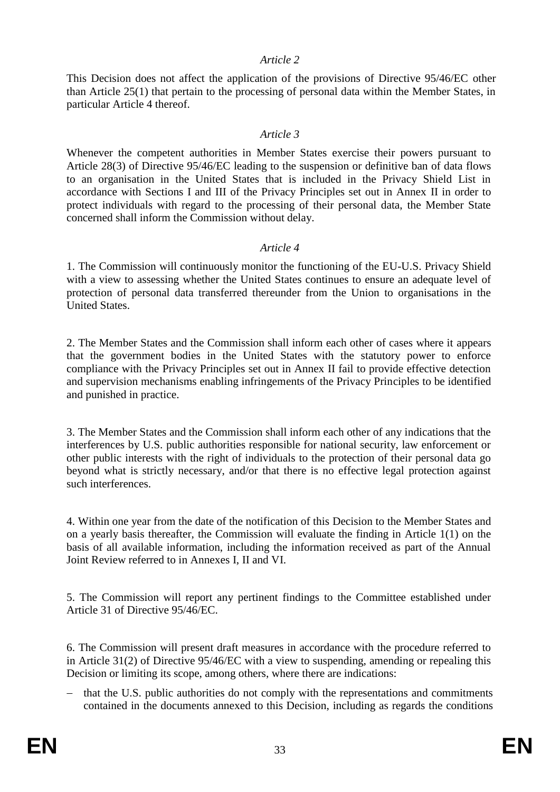### *Article 2*

This Decision does not affect the application of the provisions of Directive 95/46/EC other than Article 25(1) that pertain to the processing of personal data within the Member States, in particular Article 4 thereof.

## *Article 3*

Whenever the competent authorities in Member States exercise their powers pursuant to Article 28(3) of Directive 95/46/EC leading to the suspension or definitive ban of data flows to an organisation in the United States that is included in the Privacy Shield List in accordance with Sections I and III of the Privacy Principles set out in Annex II in order to protect individuals with regard to the processing of their personal data, the Member State concerned shall inform the Commission without delay.

## *Article 4*

1. The Commission will continuously monitor the functioning of the EU-U.S. Privacy Shield with a view to assessing whether the United States continues to ensure an adequate level of protection of personal data transferred thereunder from the Union to organisations in the I Inited States

2. The Member States and the Commission shall inform each other of cases where it appears that the government bodies in the United States with the statutory power to enforce compliance with the Privacy Principles set out in Annex II fail to provide effective detection and supervision mechanisms enabling infringements of the Privacy Principles to be identified and punished in practice.

3. The Member States and the Commission shall inform each other of any indications that the interferences by U.S. public authorities responsible for national security, law enforcement or other public interests with the right of individuals to the protection of their personal data go beyond what is strictly necessary, and/or that there is no effective legal protection against such interferences.

4. Within one year from the date of the notification of this Decision to the Member States and on a yearly basis thereafter, the Commission will evaluate the finding in Article 1(1) on the basis of all available information, including the information received as part of the Annual Joint Review referred to in Annexes I, II and VI.

5. The Commission will report any pertinent findings to the Committee established under Article 31 of Directive 95/46/EC.

6. The Commission will present draft measures in accordance with the procedure referred to in Article 31(2) of Directive 95/46/EC with a view to suspending, amending or repealing this Decision or limiting its scope, among others, where there are indications:

 that the U.S. public authorities do not comply with the representations and commitments contained in the documents annexed to this Decision, including as regards the conditions